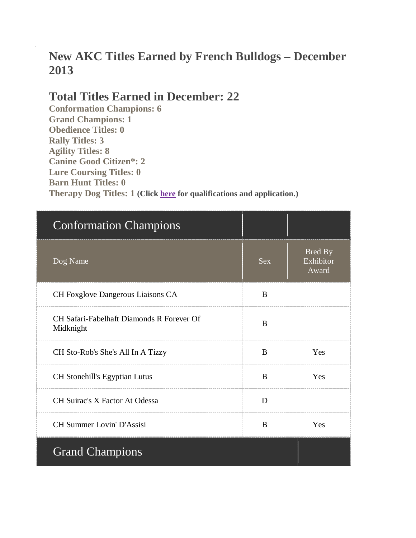# **New AKC Titles Earned by French Bulldogs – December 2013**

#### **Total Titles Earned in December: 22**

**Conformation Champions: 6 Grand Champions: 1 Obedience Titles: 0 Rally Titles: 3 Agility Titles: 8 Canine Good Citizen\*: 2 Lure Coursing Titles: 0 Barn Hunt Titles: 0 Therapy Dog Titles: 1 (Click [here](http://www.akc.org/akctherapydog/) for qualifications and application.)**

| <b>Conformation Champions</b>                          |            |                               |
|--------------------------------------------------------|------------|-------------------------------|
| Dog Name                                               | <b>Sex</b> | Bred By<br>Exhibitor<br>Award |
| CH Foxglove Dangerous Liaisons CA                      | B          |                               |
| CH Safari-Fabelhaft Diamonds R Forever Of<br>Midknight | B          |                               |
| CH Sto-Rob's She's All In A Tizzy                      | B          | Yes                           |
| <b>CH Stonehill's Egyptian Lutus</b>                   | B          | Yes                           |
| <b>CH Suirac's X Factor At Odessa</b>                  | D          |                               |
| <b>CH Summer Lovin' D'Assisi</b>                       | B          | Yes                           |
| <b>Grand Champions</b>                                 |            |                               |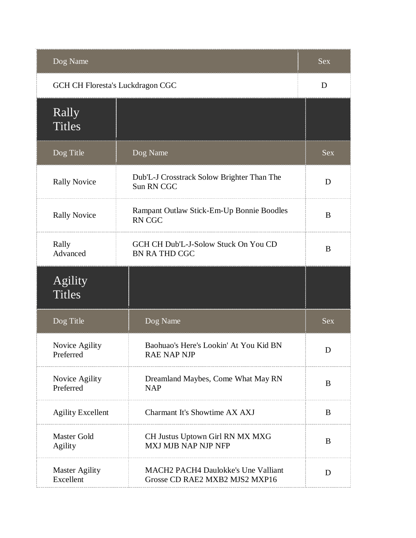| Dog Name                           |                                                                              | <b>Sex</b> |
|------------------------------------|------------------------------------------------------------------------------|------------|
| GCH CH Floresta's Luckdragon CGC   |                                                                              | D          |
| Rally<br><b>Titles</b>             |                                                                              |            |
| Dog Title                          | Dog Name                                                                     | <b>Sex</b> |
| <b>Rally Novice</b>                | Dub'L-J Crosstrack Solow Brighter Than The<br><b>Sun RN CGC</b>              | D          |
| <b>Rally Novice</b>                | Rampant Outlaw Stick-Em-Up Bonnie Boodles<br><b>RN CGC</b>                   | B          |
| Rally<br>Advanced                  | GCH CH Dub'L-J-Solow Stuck On You CD<br><b>BN RATHD CGC</b>                  | B          |
| Agility<br><b>Titles</b>           |                                                                              |            |
| Dog Title                          | Dog Name                                                                     | <b>Sex</b> |
| Novice Agility<br>Preferred        | Baohuao's Here's Lookin' At You Kid BN<br><b>RAE NAP NJP</b>                 | D          |
| Novice Agility<br>Preferred        | Dreamland Maybes, Come What May RN<br><b>NAP</b>                             | B          |
| <b>Agility Excellent</b>           | Charmant It's Showtime AX AXJ                                                | B          |
| Master Gold<br><b>Agility</b>      | CH Justus Uptown Girl RN MX MXG<br>MXJ MJB NAP NJP NFP                       | B          |
| <b>Master Agility</b><br>Excellent | <b>MACH2 PACH4 Daulokke's Une Valliant</b><br>Grosse CD RAE2 MXB2 MJS2 MXP16 | D          |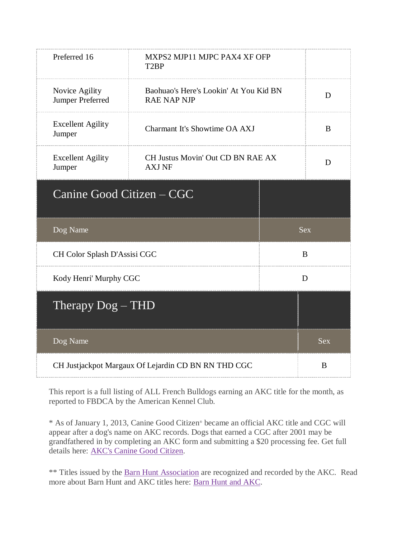| Preferred 16                                        | MXPS2 MJP11 MJPC PAX4 XF OFP<br>T <sub>2</sub> BP            |            |            |
|-----------------------------------------------------|--------------------------------------------------------------|------------|------------|
| Novice Agility<br>Jumper Preferred                  | Baohuao's Here's Lookin' At You Kid BN<br><b>RAE NAP NJP</b> |            | D          |
| <b>Excellent Agility</b><br>Jumper                  | Charmant It's Showtime OA AXJ                                |            | B          |
| <b>Excellent Agility</b><br>Jumper                  | CH Justus Movin' Out CD BN RAE AX<br><b>AXJ NF</b>           |            | D          |
| Canine Good Citizen – CGC                           |                                                              |            |            |
| Dog Name                                            |                                                              |            | <b>Sex</b> |
| CH Color Splash D'Assisi CGC                        |                                                              | $\bf{B}$   |            |
| Kody Henri' Murphy CGC                              |                                                              | D          |            |
| Therapy $Dog - THD$                                 |                                                              |            |            |
| Dog Name                                            |                                                              | <b>Sex</b> |            |
| CH Justjackpot Margaux Of Lejardin CD BN RN THD CGC |                                                              | B          |            |

\* As of January 1, 2013, Canine Good Citizen® became an official AKC title and CGC will appear after a dog's name on AKC records. Dogs that earned a CGC after 2001 may be grandfathered in by completing an AKC form and submitting a \$20 processing fee. Get full details here: [AKC's Canine Good Citizen.](http://www.akc.org/events/cgc/title.cfm)

\*\* Titles issued by the [Barn Hunt Association](http://barnhunt.com/) are recognized and recorded by the AKC. Read more about Barn Hunt and AKC titles here: [Barn Hunt and AKC.](http://barnhunt.com/about/akc-bha-faqs/)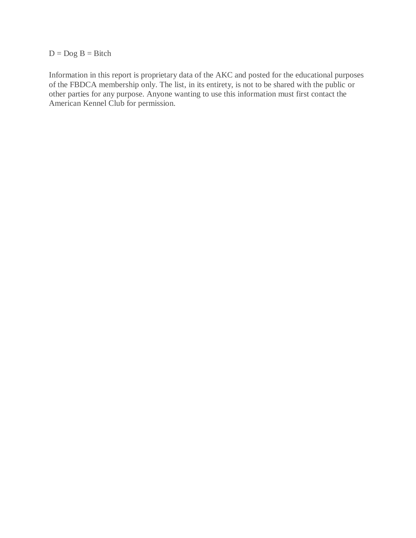#### $D = Dog B = Bitch$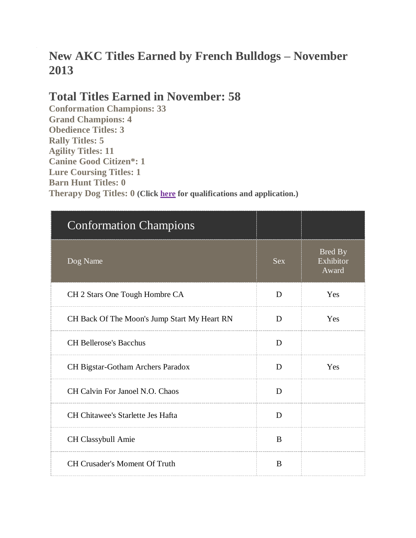# **New AKC Titles Earned by French Bulldogs – November 2013**

### **Total Titles Earned in November: 58**

**Conformation Champions: 33 Grand Champions: 4 Obedience Titles: 3 Rally Titles: 5 Agility Titles: 11 Canine Good Citizen\*: 1 Lure Coursing Titles: 1 Barn Hunt Titles: 0 Therapy Dog Titles: 0 (Click [here](http://www.akc.org/akctherapydog/) for qualifications and application.)**

| <b>Conformation Champions</b>                |            |                                      |
|----------------------------------------------|------------|--------------------------------------|
| Dog Name                                     | <b>Sex</b> | <b>Bred By</b><br>Exhibitor<br>Award |
| CH 2 Stars One Tough Hombre CA               | D          | Yes                                  |
| CH Back Of The Moon's Jump Start My Heart RN | D          | Yes                                  |
| <b>CH Bellerose's Bacchus</b>                | D          |                                      |
| CH Bigstar-Gotham Archers Paradox            | D          | Yes                                  |
| CH Calvin For Janoel N.O. Chaos              | D          |                                      |
| CH Chitawee's Starlette Jes Hafta            | D          |                                      |
| CH Classybull Amie                           | B          |                                      |
| <b>CH Crusader's Moment Of Truth</b>         | B          |                                      |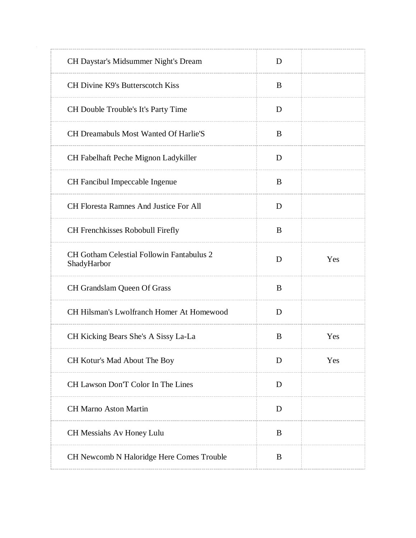| CH Daystar's Midsummer Night's Dream                            | D |     |
|-----------------------------------------------------------------|---|-----|
| CH Divine K9's Butterscotch Kiss                                | B |     |
| CH Double Trouble's It's Party Time                             | D |     |
| <b>CH Dreamabuls Most Wanted Of Harlie'S</b>                    | B |     |
| CH Fabelhaft Peche Mignon Ladykiller                            | D |     |
| CH Fancibul Impeccable Ingenue                                  | B |     |
| CH Floresta Ramnes And Justice For All                          | D |     |
| CH Frenchkisses Robobull Firefly                                | B |     |
| <b>CH Gotham Celestial Followin Fantabulus 2</b><br>ShadyHarbor | D | Yes |
| CH Grandslam Queen Of Grass                                     | B |     |
| CH Hilsman's Lwolfranch Homer At Homewood                       | D |     |
| CH Kicking Bears She's A Sissy La-La                            | B | Yes |
| CH Kotur's Mad About The Boy                                    | D | Yes |
| CH Lawson Don'T Color In The Lines                              | D |     |
| <b>CH Marno Aston Martin</b>                                    | D |     |
| CH Messiahs Av Honey Lulu                                       | B |     |
| CH Newcomb N Haloridge Here Comes Trouble                       | B |     |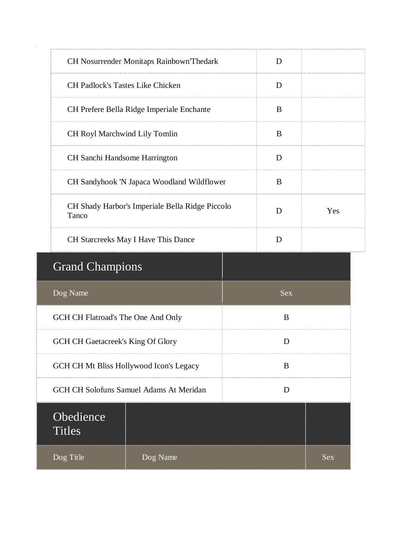| CH Nosurrender Monitaps Rainbown Thedark                      |                                            | D   |  |  |
|---------------------------------------------------------------|--------------------------------------------|-----|--|--|
| <b>CH Padlock's Tastes Like Chicken</b>                       |                                            | D   |  |  |
|                                                               | CH Prefere Bella Ridge Imperiale Enchante  | B   |  |  |
| CH Royl Marchwind Lily Tomlin                                 |                                            | B   |  |  |
| CH Sanchi Handsome Harrington                                 |                                            | D   |  |  |
|                                                               | CH Sandyhook 'N Japaca Woodland Wildflower | B   |  |  |
| CH Shady Harbor's Imperiale Bella Ridge Piccolo<br>D<br>Tanco |                                            | Yes |  |  |
| CH Starcreeks May I Have This Dance                           |                                            | D   |  |  |
| <b>Grand Champions</b>                                        |                                            |     |  |  |
| Dog Name                                                      | <b>Sex</b>                                 |     |  |  |
|                                                               | GCH CH Flatroad's The One And Only<br>B    |     |  |  |
| GCH CH Gaetacreek's King Of Glory<br>D                        |                                            |     |  |  |
| GCH CH Mt Bliss Hollywood Icon's Legacy                       |                                            | B   |  |  |
| <b>GCH CH Solofuns Samuel Adams At Meridan</b>                |                                            | D   |  |  |
| Obedience<br><b>Titles</b>                                    |                                            |     |  |  |
| Dog Title                                                     | Dog Name<br><b>Sex</b>                     |     |  |  |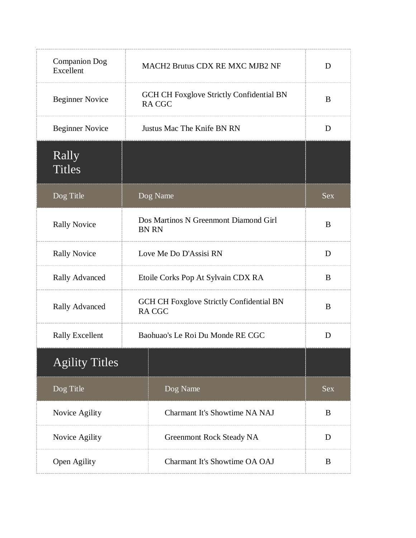| <b>Companion Dog</b><br>Excellent | MACH2 Brutus CDX RE MXC MJB2 NF                                 | D          |
|-----------------------------------|-----------------------------------------------------------------|------------|
| <b>Beginner Novice</b>            | <b>GCH CH Foxglove Strictly Confidential BN</b><br><b>RACGC</b> | B          |
| <b>Beginner Novice</b>            | Justus Mac The Knife BN RN                                      | D          |
| Rally<br><b>Titles</b>            |                                                                 |            |
| Dog Title                         | Dog Name                                                        | <b>Sex</b> |
| <b>Rally Novice</b>               | Dos Martinos N Greenmont Diamond Girl<br><b>BN RN</b>           | B          |
| <b>Rally Novice</b>               | Love Me Do D'Assisi RN                                          | D          |
| <b>Rally Advanced</b>             | Etoile Corks Pop At Sylvain CDX RA                              | B          |
| <b>Rally Advanced</b>             | <b>GCH CH Foxglove Strictly Confidential BN</b><br><b>RACGC</b> | B          |
| <b>Rally Excellent</b>            | Baohuao's Le Roi Du Monde RE CGC                                | D          |
| <b>Agility Titles</b>             |                                                                 |            |
| Dog Title                         | Dog Name                                                        | <b>Sex</b> |
| Novice Agility                    | <b>Charmant It's Showtime NA NAJ</b>                            | B          |
| Novice Agility                    | Greenmont Rock Steady NA                                        | D          |
| Open Agility                      | Charmant It's Showtime OA OAJ                                   | B          |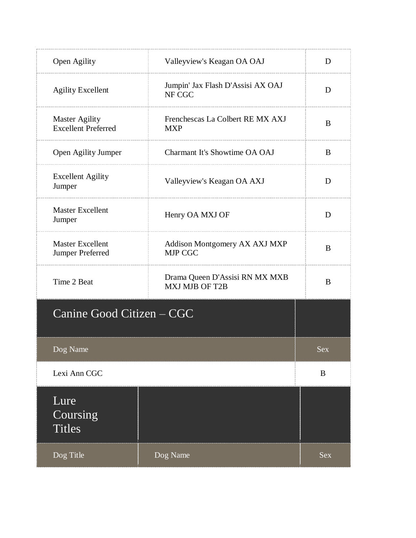| Open Agility                                        | Valleyview's Keagan OA OAJ                              | D          |
|-----------------------------------------------------|---------------------------------------------------------|------------|
| <b>Agility Excellent</b>                            | Jumpin' Jax Flash D'Assisi AX OAJ<br>NF CGC             | D          |
| <b>Master Agility</b><br><b>Excellent Preferred</b> | Frenchescas La Colbert RE MX AXJ<br><b>MXP</b>          | B          |
| Open Agility Jumper                                 | Charmant It's Showtime OA OAJ                           | B          |
| <b>Excellent Agility</b><br>Jumper                  | Valleyview's Keagan OA AXJ                              | D          |
| <b>Master Excellent</b><br>Jumper                   | Henry OA MXJ OF                                         | D          |
| <b>Master Excellent</b><br>Jumper Preferred         | Addison Montgomery AX AXJ MXP<br><b>MJP CGC</b>         | B          |
| Time 2 Beat                                         | Drama Queen D'Assisi RN MX MXB<br><b>MXJ MJB OF T2B</b> | B          |
| Canine Good Citizen – CGC                           |                                                         |            |
| Dog Name                                            |                                                         | Sex        |
| Lexi Ann CGC                                        |                                                         | B          |
| Lure<br>Coursing<br><b>Titles</b>                   |                                                         |            |
| Dog Title                                           | Dog Name                                                | <b>Sex</b> |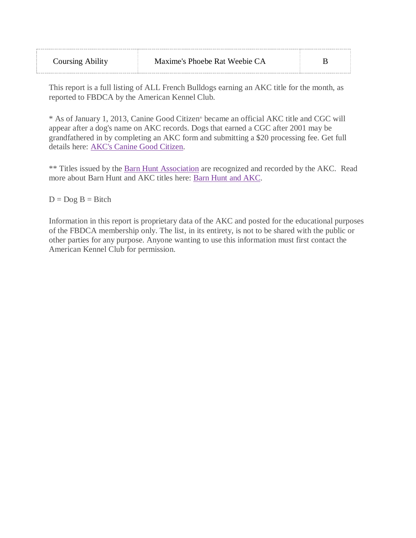| <b>Coursing Ability</b> | Maxime's Phoebe Rat Weebie CA |  |
|-------------------------|-------------------------------|--|
|-------------------------|-------------------------------|--|

\* As of January 1, 2013, Canine Good Citizen® became an official AKC title and CGC will appear after a dog's name on AKC records. Dogs that earned a CGC after 2001 may be grandfathered in by completing an AKC form and submitting a \$20 processing fee. Get full details here: [AKC's Canine Good Citizen.](http://www.akc.org/events/cgc/title.cfm)

\*\* Titles issued by the [Barn Hunt Association](http://barnhunt.com/) are recognized and recorded by the AKC. Read more about Barn Hunt and AKC titles here: [Barn Hunt and AKC.](http://barnhunt.com/about/akc-bha-faqs/)

 $D = Dog B = Bitch$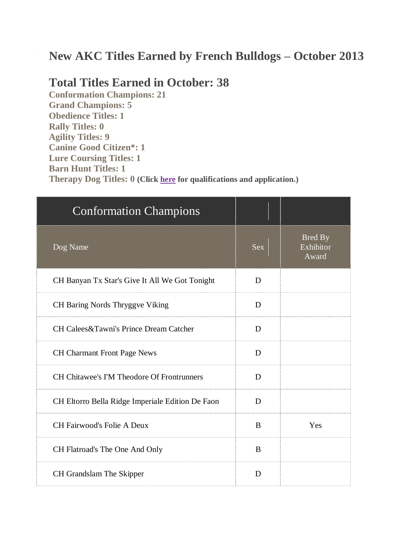## **New AKC Titles Earned by French Bulldogs – October 2013**

#### **Total Titles Earned in October: 38**

**Conformation Champions: 21 Grand Champions: 5 Obedience Titles: 1 Rally Titles: 0 Agility Titles: 9 Canine Good Citizen\*: 1 Lure Coursing Titles: 1 Barn Hunt Titles: 1 Therapy Dog Titles: 0 (Click [here](http://www.akc.org/akctherapydog/) for qualifications and application.)**

| <b>Conformation Champions</b>                     |            |                                      |
|---------------------------------------------------|------------|--------------------------------------|
| Dog Name                                          | <b>Sex</b> | <b>Bred By</b><br>Exhibitor<br>Award |
| CH Banyan Tx Star's Give It All We Got Tonight    | D          |                                      |
| CH Baring Nords Thryggve Viking                   | D          |                                      |
| CH Calees&Tawni's Prince Dream Catcher            | D          |                                      |
| <b>CH Charmant Front Page News</b>                | D          |                                      |
| <b>CH Chitawee's I'M Theodore Of Frontrunners</b> | D          |                                      |
| CH Eltorro Bella Ridge Imperiale Edition De Faon  | D          |                                      |
| <b>CH Fairwood's Folie A Deux</b>                 | B          | Yes                                  |
| CH Flatroad's The One And Only                    | B          |                                      |
| CH Grandslam The Skipper                          | D          |                                      |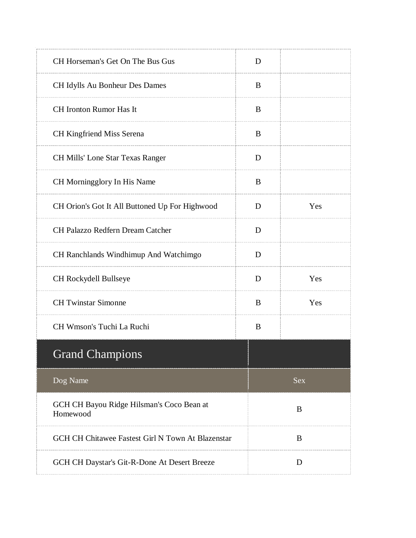| CH Horseman's Get On The Bus Gus                      | D |            |  |
|-------------------------------------------------------|---|------------|--|
| CH Idylls Au Bonheur Des Dames                        | B |            |  |
| <b>CH</b> Ironton Rumor Has It                        | B |            |  |
| <b>CH Kingfriend Miss Serena</b>                      | B |            |  |
| <b>CH Mills' Lone Star Texas Ranger</b>               | D |            |  |
| CH Morningglory In His Name                           | B |            |  |
| CH Orion's Got It All Buttoned Up For Highwood        | D | Yes        |  |
| CH Palazzo Redfern Dream Catcher                      | D |            |  |
| CH Ranchlands Windhimup And Watchimgo                 | D |            |  |
| CH Rockydell Bullseye                                 | D | Yes        |  |
| <b>CH Twinstar Simonne</b>                            | B | Yes        |  |
| CH Wmson's Tuchi La Ruchi                             | B |            |  |
| <b>Grand Champions</b>                                |   |            |  |
| Dog Name                                              |   | <b>Sex</b> |  |
| GCH CH Bayou Ridge Hilsman's Coco Bean at<br>Homewood |   | B          |  |
| GCH CH Chitawee Fastest Girl N Town At Blazenstar     |   | B          |  |
| GCH CH Daystar's Git-R-Done At Desert Breeze          |   | D          |  |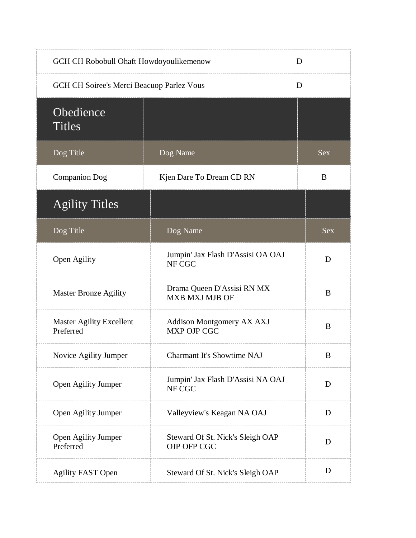| GCH CH Robobull Ohaft Howdoyoulikemenow      |                                                 | D |            |
|----------------------------------------------|-------------------------------------------------|---|------------|
| GCH CH Soiree's Merci Beacuop Parlez Vous    |                                                 | D |            |
| Obedience<br><b>Titles</b>                   |                                                 |   |            |
| Dog Title                                    | Dog Name                                        |   | <b>Sex</b> |
| <b>Companion Dog</b>                         | Kjen Dare To Dream CD RN                        |   | B          |
| <b>Agility Titles</b>                        |                                                 |   |            |
| Dog Title                                    | Dog Name                                        |   | <b>Sex</b> |
| Open Agility                                 | Jumpin' Jax Flash D'Assisi OA OAJ<br>NF CGC     |   | D          |
| <b>Master Bronze Agility</b>                 | Drama Queen D'Assisi RN MX<br>MXB MXJ MJB OF    |   | B          |
| <b>Master Agility Excellent</b><br>Preferred | Addison Montgomery AX AXJ<br><b>MXP OJP CGC</b> |   | B          |
| Novice Agility Jumper                        | <b>Charmant It's Showtime NAJ</b>               |   | B          |
| Open Agility Jumper                          | Jumpin' Jax Flash D'Assisi NA OAJ<br>NF CGC     |   | D          |
| Open Agility Jumper                          | Valleyview's Keagan NA OAJ                      |   | D          |
| Open Agility Jumper<br>Preferred             | Steward Of St. Nick's Sleigh OAP<br>OJP OFP CGC |   | D          |
| <b>Agility FAST Open</b>                     | Steward Of St. Nick's Sleigh OAP                |   | D          |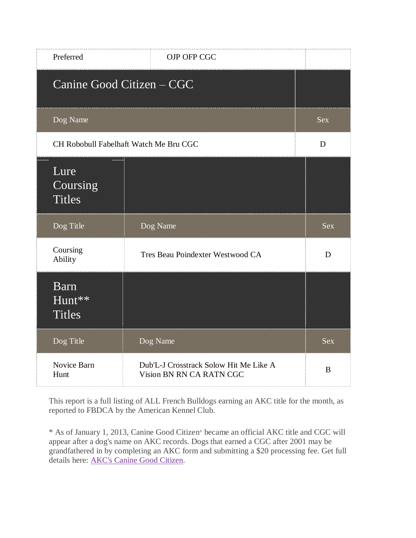| Preferred                              | OJP OFP CGC                                                        |            |
|----------------------------------------|--------------------------------------------------------------------|------------|
|                                        | Canine Good Citizen - CGC                                          |            |
| Dog Name                               |                                                                    | <b>Sex</b> |
|                                        | CH Robobull Fabelhaft Watch Me Bru CGC                             | D          |
| Lure<br>Coursing<br><b>Titles</b>      |                                                                    |            |
| Dog Title                              | Dog Name                                                           | <b>Sex</b> |
| Coursing<br>Ability                    | Tres Beau Poindexter Westwood CA                                   | D          |
| <b>Barn</b><br>Hunt**<br><b>Titles</b> |                                                                    |            |
| Dog Title                              | Dog Name                                                           | <b>Sex</b> |
| Novice Barn<br>Hunt                    | Dub'L-J Crosstrack Solow Hit Me Like A<br>Vision BN RN CA RATN CGC | B          |

\* As of January 1, 2013, Canine Good Citizen ® became an official AKC title and CGC will appear after a dog's name on AKC records. Dogs that earned a CGC after 2001 may be grandfathered in by completing an AKC form and submitting a \$20 processing fee. Get full details here: [AKC's Canine Good Citizen.](http://www.akc.org/events/cgc/title.cfm)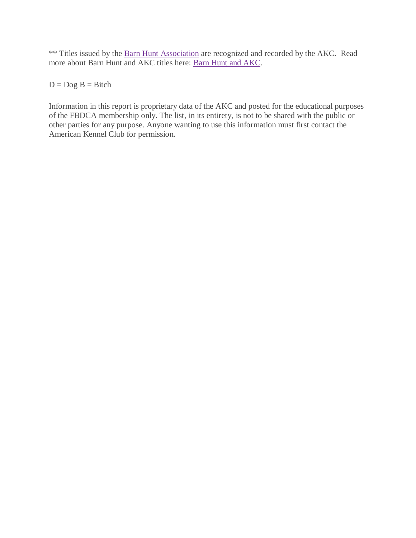\*\* Titles issued by the [Barn Hunt Association](http://barnhunt.com/) are recognized and recorded by the AKC. Read more about Barn Hunt and AKC titles here: [Barn Hunt and AKC.](http://barnhunt.com/about/akc-bha-faqs/)

 $D = Dog B = Bitch$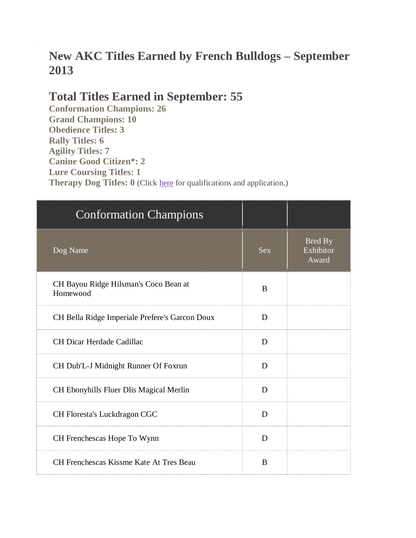# **New AKC Titles Earned by French Bulldogs – September 2013**

## **Total Titles Earned in September: 55**

**Conformation Champions: 26 Grand Champions: 10 Obedience Titles: 3 Rally Titles: 6 Agility Titles: 7 Canine Good Citizen\*: 2 Lure Coursing Titles: 1 Therapy Dog Titles: 0** (Click [here](http://www.akc.org/akctherapydog/) for qualifications and application.)

| <b>Conformation Champions</b>                     |            |                                      |
|---------------------------------------------------|------------|--------------------------------------|
| Dog Name                                          | <b>Sex</b> | <b>Bred By</b><br>Exhibitor<br>Award |
| CH Bayou Ridge Hilsman's Coco Bean at<br>Homewood | B          |                                      |
| CH Bella Ridge Imperiale Prefere's Garcon Doux    | D          |                                      |
| CH Dicar Herdade Cadillac                         | D          |                                      |
| CH Dub'L-J Midnight Runner Of Foxrun              | D          |                                      |
| CH Ebonyhills Fluer Dlis Magical Merlin           | D          |                                      |
| CH Floresta's Luckdragon CGC                      | D          |                                      |
| CH Frenchescas Hope To Wynn                       | D          |                                      |
| CH Frenchescas Kissme Kate At Tres Beau           | B          |                                      |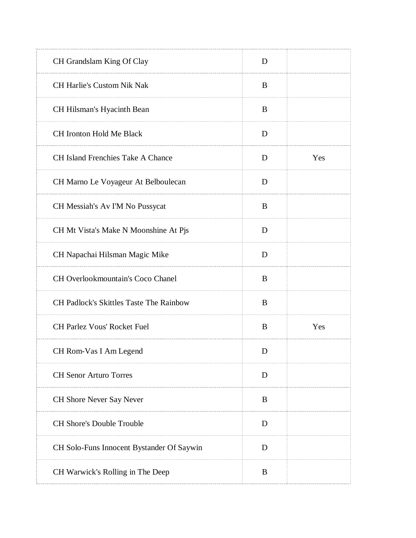| CH Grandslam King Of Clay                 | D |     |
|-------------------------------------------|---|-----|
| <b>CH Harlie's Custom Nik Nak</b>         | B |     |
| CH Hilsman's Hyacinth Bean                | B |     |
| <b>CH Ironton Hold Me Black</b>           | D |     |
| <b>CH Island Frenchies Take A Chance</b>  | D | Yes |
| CH Marno Le Voyageur At Belboulecan       | D |     |
| CH Messiah's Av I'M No Pussycat           | B |     |
| CH Mt Vista's Make N Moonshine At Pjs     | D |     |
| CH Napachai Hilsman Magic Mike            | D |     |
| CH Overlookmountain's Coco Chanel         | B |     |
| CH Padlock's Skittles Taste The Rainbow   | B |     |
| CH Parlez Vous' Rocket Fuel               | B | Yes |
| CH Rom-Vas I Am Legend                    | D |     |
| <b>CH Senor Arturo Torres</b>             | D |     |
| <b>CH Shore Never Say Never</b>           | B |     |
| <b>CH Shore's Double Trouble</b>          | D |     |
| CH Solo-Funs Innocent Bystander Of Saywin | D |     |
| CH Warwick's Rolling in The Deep          | B |     |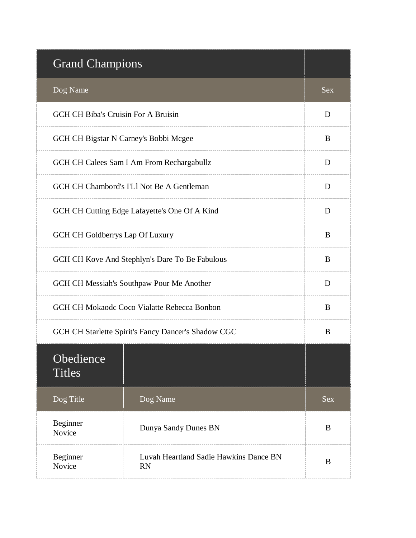| <b>Grand Champions</b>                         |                                                     |            |
|------------------------------------------------|-----------------------------------------------------|------------|
| Dog Name                                       |                                                     | <b>Sex</b> |
| <b>GCH CH Biba's Cruisin For A Bruisin</b>     |                                                     | D          |
| GCH CH Bigstar N Carney's Bobbi Mcgee          |                                                     | B          |
|                                                | GCH CH Calees Sam I Am From Rechargabullz           | D          |
|                                                | GCH CH Chambord's I'Ll Not Be A Gentleman           | D          |
|                                                | GCH CH Cutting Edge Lafayette's One Of A Kind       | D          |
| <b>GCH CH Goldberrys Lap Of Luxury</b>         |                                                     | B          |
| GCH CH Kove And Stephlyn's Dare To Be Fabulous |                                                     | B          |
| GCH CH Messiah's Southpaw Pour Me Another      |                                                     | D          |
| GCH CH Mokaodc Coco Vialatte Rebecca Bonbon    |                                                     | B          |
|                                                | GCH CH Starlette Spirit's Fancy Dancer's Shadow CGC |            |
| Obedience<br><b>Titles</b>                     |                                                     |            |
| Dog Title                                      | Dog Name                                            | <b>Sex</b> |
| Beginner<br>Novice                             | Dunya Sandy Dunes BN                                | B          |
| Beginner<br>Novice                             | Luvah Heartland Sadie Hawkins Dance BN<br><b>RN</b> | B          |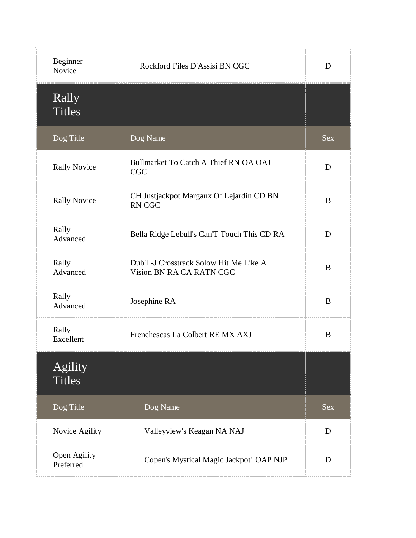| Beginner<br>Novice        | Rockford Files D'Assisi BN CGC                                     | D          |
|---------------------------|--------------------------------------------------------------------|------------|
| Rally<br><b>Titles</b>    |                                                                    |            |
| Dog Title                 | Dog Name                                                           | <b>Sex</b> |
| <b>Rally Novice</b>       | Bullmarket To Catch A Thief RN OA OAJ<br><b>CGC</b>                | D          |
| <b>Rally Novice</b>       | CH Justjackpot Margaux Of Lejardin CD BN<br><b>RN CGC</b>          | B          |
| Rally<br>Advanced         | Bella Ridge Lebull's Can'T Touch This CD RA                        | D          |
| Rally<br>Advanced         | Dub'L-J Crosstrack Solow Hit Me Like A<br>Vision BN RA CA RATN CGC | B          |
| Rally<br>Advanced         | Josephine RA                                                       | B          |
| Rally<br>Excellent        | Frenchescas La Colbert RE MX AXJ                                   | B          |
| Agility<br><b>Titles</b>  |                                                                    |            |
| Dog Title                 | Dog Name                                                           | <b>Sex</b> |
| Novice Agility            | Valleyview's Keagan NA NAJ                                         | D          |
| Open Agility<br>Preferred | Copen's Mystical Magic Jackpot! OAP NJP                            | D          |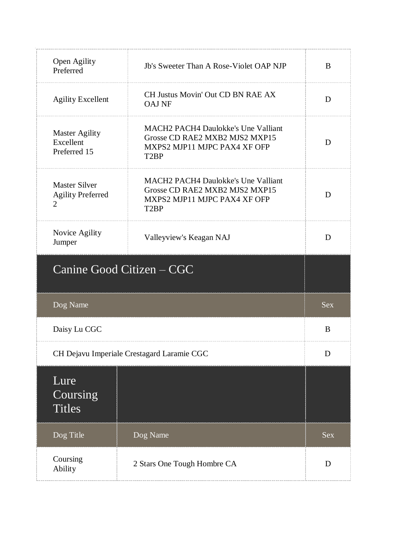| Open Agility<br>Preferred                                          | Jb's Sweeter Than A Rose-Violet OAP NJP                                                                                           | B          |
|--------------------------------------------------------------------|-----------------------------------------------------------------------------------------------------------------------------------|------------|
| <b>Agility Excellent</b>                                           | CH Justus Movin' Out CD BN RAE AX<br><b>OAJ NF</b>                                                                                | D          |
| <b>Master Agility</b><br>Excellent<br>Preferred 15                 | <b>MACH2 PACH4 Daulokke's Une Valliant</b><br>Grosse CD RAE2 MXB2 MJS2 MXP15<br>MXPS2 MJP11 MJPC PAX4 XF OFP<br>T <sub>2</sub> BP | D          |
| <b>Master Silver</b><br><b>Agility Preferred</b><br>$\overline{2}$ | <b>MACH2 PACH4 Daulokke's Une Valliant</b><br>Grosse CD RAE2 MXB2 MJS2 MXP15<br>MXPS2 MJP11 MJPC PAX4 XF OFP<br>T <sub>2</sub> BP | D          |
| Novice Agility<br>Jumper                                           | Valleyview's Keagan NAJ                                                                                                           | D          |
| Canine Good Citizen – CGC                                          |                                                                                                                                   |            |
| Dog Name                                                           |                                                                                                                                   | <b>Sex</b> |
| Daisy Lu CGC                                                       |                                                                                                                                   | B          |
|                                                                    | CH Dejavu Imperiale Crestagard Laramie CGC                                                                                        |            |
| Lure<br>Coursing<br><b>Titles</b>                                  |                                                                                                                                   |            |
| Dog Title                                                          | Dog Name                                                                                                                          | <b>Sex</b> |
| Coursing<br>Ability                                                | 2 Stars One Tough Hombre CA                                                                                                       | D          |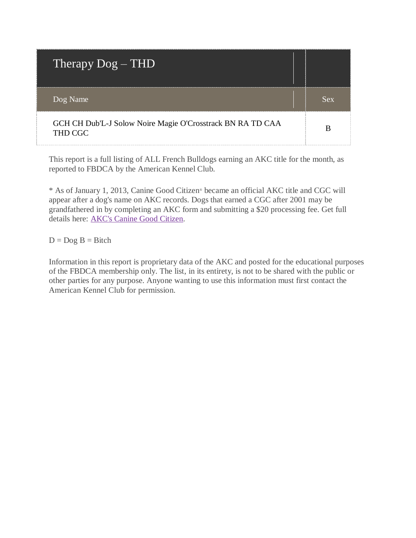| Therapy $\overline{D}og - THD$                                        |     |
|-----------------------------------------------------------------------|-----|
| Dog Name                                                              | Sex |
| GCH CH Dub'L-J Solow Noire Magie O'Crosstrack BN RA TD CAA<br>THD CGC |     |

\* As of January 1, 2013, Canine Good Citizen® became an official AKC title and CGC will appear after a dog's name on AKC records. Dogs that earned a CGC after 2001 may be grandfathered in by completing an AKC form and submitting a \$20 processing fee. Get full details here: [AKC's Canine Good Citizen.](http://www.akc.org/events/cgc/title.cfm)

 $D = Dog B = Bitch$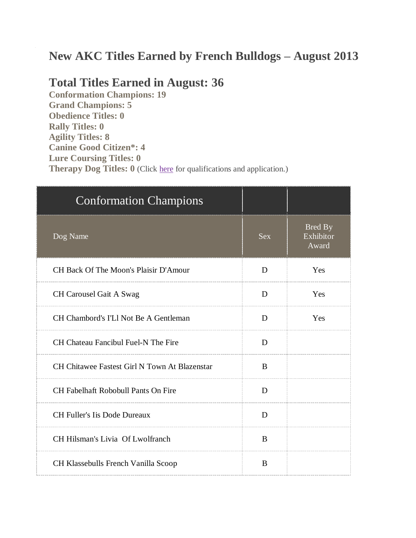# **New AKC Titles Earned by French Bulldogs – August 2013**

### **Total Titles Earned in August: 36**

**Conformation Champions: 19 Grand Champions: 5 Obedience Titles: 0 Rally Titles: 0 Agility Titles: 8 Canine Good Citizen\*: 4 Lure Coursing Titles: 0 Therapy Dog Titles: 0** (Click [here](http://www.akc.org/akctherapydog/) for qualifications and application.)

| <b>Conformation Champions</b>                 |            |                                      |
|-----------------------------------------------|------------|--------------------------------------|
| Dog Name                                      | <b>Sex</b> | <b>Bred By</b><br>Exhibitor<br>Award |
| CH Back Of The Moon's Plaisir D'Amour         | D          | Yes                                  |
| CH Carousel Gait A Swag                       | D          | Yes                                  |
| CH Chambord's I'Ll Not Be A Gentleman         | D          | Yes                                  |
| CH Chateau Fancibul Fuel-N The Fire           | D          |                                      |
| CH Chitawee Fastest Girl N Town At Blazenstar | B          |                                      |
| <b>CH Fabelhaft Robobull Pants On Fire</b>    | D          |                                      |
| <b>CH Fuller's Iis Dode Dureaux</b>           | D          |                                      |
| CH Hilsman's Livia Of Lwolfranch              | B          |                                      |
| CH Klassebulls French Vanilla Scoop           | B          |                                      |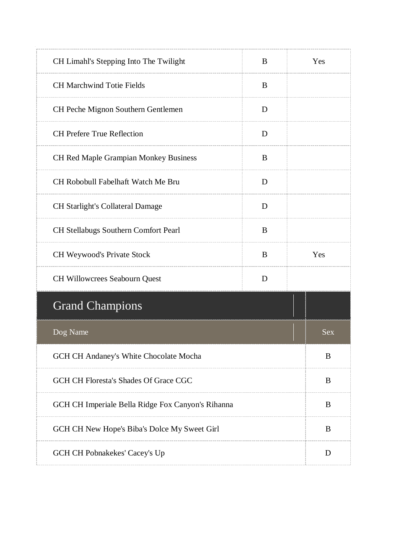| CH Limahl's Stepping Into The Twilight            | B |   | Yes        |
|---------------------------------------------------|---|---|------------|
| <b>CH Marchwind Totie Fields</b>                  | B |   |            |
| CH Peche Mignon Southern Gentlemen                | D |   |            |
| <b>CH Prefere True Reflection</b>                 | D |   |            |
| <b>CH Red Maple Grampian Monkey Business</b>      | B |   |            |
| CH Robobull Fabelhaft Watch Me Bru                | D |   |            |
| <b>CH Starlight's Collateral Damage</b>           | D |   |            |
| <b>CH Stellabugs Southern Comfort Pearl</b>       | B |   |            |
| CH Weywood's Private Stock                        | B |   | Yes        |
| CH Willowcrees Seabourn Quest<br>D                |   |   |            |
| <b>Grand Champions</b>                            |   |   |            |
| Dog Name                                          |   |   | <b>Sex</b> |
| GCH CH Andaney's White Chocolate Mocha            |   |   | B          |
| GCH CH Floresta's Shades Of Grace CGC             |   | B |            |
| GCH CH Imperiale Bella Ridge Fox Canyon's Rihanna |   | B |            |
| GCH CH New Hope's Biba's Dolce My Sweet Girl      |   | B |            |
| GCH CH Pobnakekes' Cacey's Up                     |   |   | D          |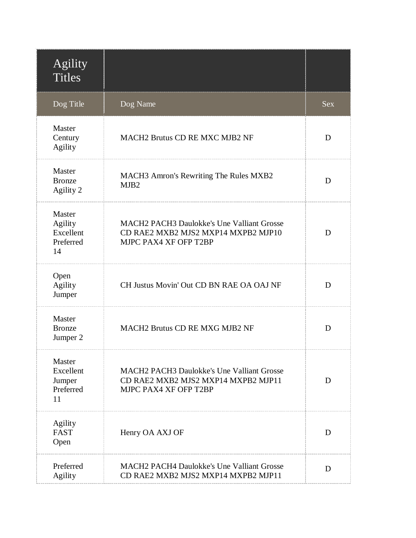| Agility<br><b>Titles</b>                          |                                                                                                                   |            |
|---------------------------------------------------|-------------------------------------------------------------------------------------------------------------------|------------|
| Dog Title                                         | Dog Name                                                                                                          | <b>Sex</b> |
| Master<br>Century<br><b>Agility</b>               | <b>MACH2 Brutus CD RE MXC MJB2 NF</b>                                                                             | D          |
| Master<br><b>Bronze</b><br>Agility 2              | MACH3 Amron's Rewriting The Rules MXB2<br>MJB <sub>2</sub>                                                        | D          |
| Master<br>Agility<br>Excellent<br>Preferred<br>14 | <b>MACH2 PACH3 Daulokke's Une Valliant Grosse</b><br>CD RAE2 MXB2 MJS2 MXP14 MXPB2 MJP10<br>MJPC PAX4 XF OFP T2BP | D          |
| Open<br><b>Agility</b><br>Jumper                  | CH Justus Movin' Out CD BN RAE OA OAJ NF                                                                          | D          |
| Master<br><b>Bronze</b><br>Jumper 2               | MACH2 Brutus CD RE MXG MJB2 NF                                                                                    | D          |
| Master<br>Excellent<br>Jumper<br>Preferred<br>11  | <b>MACH2 PACH3 Daulokke's Une Valliant Grosse</b><br>CD RAE2 MXB2 MJS2 MXP14 MXPB2 MJP11<br>MJPC PAX4 XF OFP T2BP | D          |
| <b>Agility</b><br><b>FAST</b><br>Open             | Henry OA AXJ OF                                                                                                   | D          |
| Preferred<br><b>Agility</b>                       | <b>MACH2 PACH4 Daulokke's Une Valliant Grosse</b><br>CD RAE2 MXB2 MJS2 MXP14 MXPB2 MJP11                          | D          |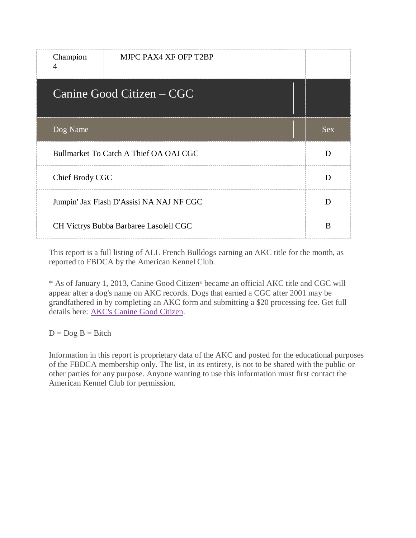| Champion<br>$\overline{A}$               | MJPC PAX4 XF OFP T2BP     |            |
|------------------------------------------|---------------------------|------------|
|                                          | Canine Good Citizen – CGC |            |
| Dog Name                                 |                           | <b>Sex</b> |
| Bullmarket To Catch A Thief OA OAJ CGC   |                           | D          |
| Chief Brody CGC                          |                           | D          |
| Jumpin' Jax Flash D'Assisi NA NAJ NF CGC |                           | D          |
| CH Victrys Bubba Barbaree Lasoleil CGC   |                           | B          |

\* As of January 1, 2013, Canine Good Citizen® became an official AKC title and CGC will appear after a dog's name on AKC records. Dogs that earned a CGC after 2001 may be grandfathered in by completing an AKC form and submitting a \$20 processing fee. Get full details here: [AKC's Canine Good Citizen.](http://www.akc.org/events/cgc/title.cfm)

 $D = Dog B = Bitch$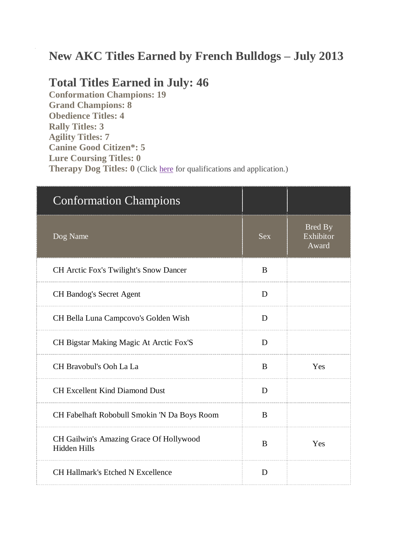## **New AKC Titles Earned by French Bulldogs – July 2013**

#### **Total Titles Earned in July: 46**

**Conformation Champions: 19 Grand Champions: 8 Obedience Titles: 4 Rally Titles: 3 Agility Titles: 7 Canine Good Citizen\*: 5 Lure Coursing Titles: 0 Therapy Dog Titles: 0** (Click [here](http://www.akc.org/akctherapydog/) for qualifications and application.)

| <b>Conformation Champions</b>                                  |            |                               |
|----------------------------------------------------------------|------------|-------------------------------|
| Dog Name                                                       | <b>Sex</b> | Bred By<br>Exhibitor<br>Award |
| <b>CH</b> Arctic Fox's Twilight's Snow Dancer                  | B          |                               |
| <b>CH Bandog's Secret Agent</b>                                | D          |                               |
| CH Bella Luna Campcovo's Golden Wish                           | D          |                               |
| CH Bigstar Making Magic At Arctic Fox'S                        | D          |                               |
| CH Bravobul's Ooh La La                                        | B          | Yes                           |
| <b>CH Excellent Kind Diamond Dust</b>                          | D          |                               |
| CH Fabelhaft Robobull Smokin 'N Da Boys Room                   | B          |                               |
| CH Gailwin's Amazing Grace Of Hollywood<br><b>Hidden Hills</b> | B          | Yes                           |
| <b>CH Hallmark's Etched N Excellence</b>                       | D          |                               |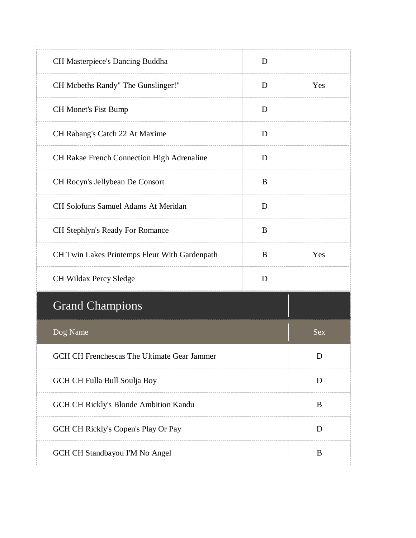| CH Masterpiece's Dancing Buddha               | D |            |
|-----------------------------------------------|---|------------|
| CH Mcbeths Randy" The Gunslinger!"            | D | Yes        |
| <b>CH Monet's Fist Bump</b>                   | D |            |
| CH Rabang's Catch 22 At Maxime                | D |            |
| CH Rakae French Connection High Adrenaline    | D |            |
| CH Rocyn's Jellybean De Consort               | B |            |
| <b>CH Solofuns Samuel Adams At Meridan</b>    | D |            |
| CH Stephlyn's Ready For Romance               | B |            |
| CH Twin Lakes Printemps Fleur With Gardenpath | B | Yes        |
| CH Wildax Percy Sledge                        | D |            |
| <b>Grand Champions</b>                        |   |            |
| Dog Name                                      |   | <b>Sex</b> |
| GCH CH Frenchescas The Ultimate Gear Jammer   |   | D          |
| GCH CH Fulla Bull Soulja Boy                  |   | D          |
| GCH CH Rickly's Blonde Ambition Kandu         |   | B          |
| GCH CH Rickly's Copen's Play Or Pay           |   | D          |
|                                               |   |            |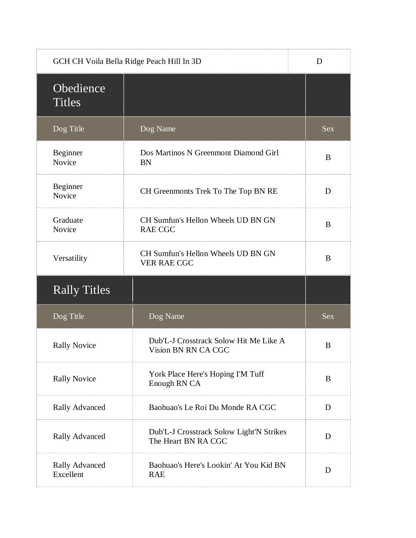|                            | GCH CH Voila Bella Ridge Peach Hill In 3D                       | D          |
|----------------------------|-----------------------------------------------------------------|------------|
| Obedience<br><b>Titles</b> |                                                                 |            |
| Dog Title                  | Dog Name                                                        | <b>Sex</b> |
| Beginner<br>Novice         | Dos Martinos N Greenmont Diamond Girl<br><b>BN</b>              | B          |
| Beginner<br>Novice         | CH Greenmonts Trek To The Top BN RE                             | D          |
| Graduate<br>Novice         | CH Sumfun's Hellon Wheels UD BN GN<br><b>RAE CGC</b>            | B          |
| Versatility                | CH Sumfun's Hellon Wheels UD BN GN<br><b>VER RAE CGC</b>        | B          |
|                            |                                                                 |            |
| <b>Rally Titles</b>        |                                                                 |            |
| Dog Title                  | Dog Name                                                        | Sex        |
| <b>Rally Novice</b>        | Dub'L-J Crosstrack Solow Hit Me Like A<br>Vision BN RN CA CGC   | B          |
| <b>Rally Novice</b>        | York Place Here's Hoping I'M Tuff<br>Enough RN CA               | B          |
| <b>Rally Advanced</b>      | Baohuao's Le Roi Du Monde RA CGC                                | D          |
| <b>Rally Advanced</b>      | Dub'L-J Crosstrack Solow Light'N Strikes<br>The Heart BN RA CGC | D          |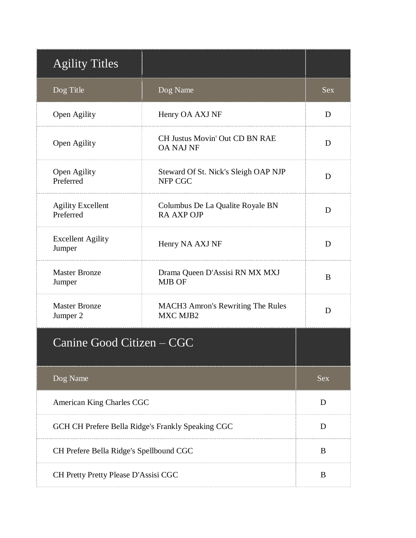| <b>Agility Titles</b>                   |                                                       |            |
|-----------------------------------------|-------------------------------------------------------|------------|
| Dog Title                               | Dog Name                                              | <b>Sex</b> |
| Open Agility                            | Henry OA AXJ NF                                       | D          |
| Open Agility                            | CH Justus Movin' Out CD BN RAE<br><b>OA NAJ NF</b>    | D          |
| Open Agility<br>Preferred               | Steward Of St. Nick's Sleigh OAP NJP<br>NFP CGC       | D          |
| <b>Agility Excellent</b><br>Preferred   | Columbus De La Qualite Royale BN<br><b>RA AXP OJP</b> | D          |
| <b>Excellent Agility</b><br>Jumper      | Henry NA AXJ NF                                       | D          |
| <b>Master Bronze</b><br>Jumper          | Drama Queen D'Assisi RN MX MXJ<br><b>MJB OF</b>       | B          |
| <b>Master Bronze</b><br>Jumper 2        | <b>MACH3</b> Amron's Rewriting The Rules<br>MXC MJB2  | D          |
| Canine Good Citizen – CGC               |                                                       |            |
| Dog Name                                |                                                       | <b>Sex</b> |
| American King Charles CGC               |                                                       | D          |
|                                         | GCH CH Prefere Bella Ridge's Frankly Speaking CGC     | D          |
| CH Prefere Bella Ridge's Spellbound CGC |                                                       | B          |
| CH Pretty Pretty Please D'Assisi CGC    |                                                       | B          |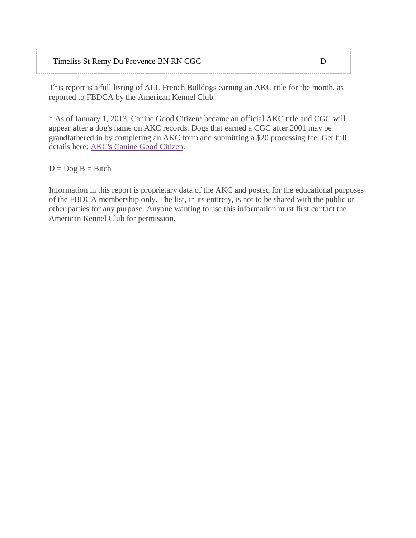| Timeliss St Remy Du Provence BN RN CGC |  |
|----------------------------------------|--|
|                                        |  |

\* As of January 1, 2013, Canine Good Citizen® became an official AKC title and CGC will appear after a dog's name on AKC records. Dogs that earned a CGC after 2001 may be grandfathered in by completing an AKC form and submitting a \$20 processing fee. Get full details here: [AKC's Canine Good Citizen.](http://www.akc.org/events/cgc/title.cfm)

 $D = Dog B = Bitch$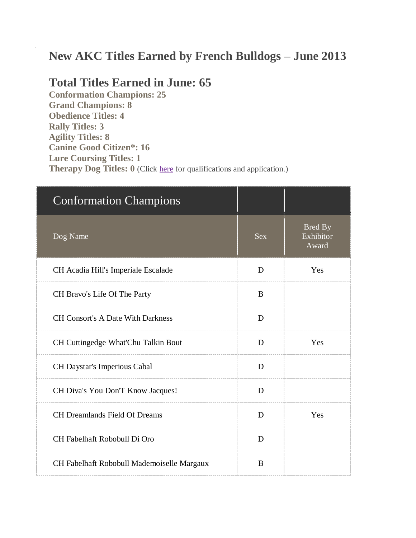# **New AKC Titles Earned by French Bulldogs – June 2013**

#### **Total Titles Earned in June: 65**

**Conformation Champions: 25 Grand Champions: 8 Obedience Titles: 4 Rally Titles: 3 Agility Titles: 8 Canine Good Citizen\*: 16 Lure Coursing Titles: 1 Therapy Dog Titles: 0** (Click [here](http://www.akc.org/akctherapydog/) for qualifications and application.)

| <b>Conformation Champions</b>              |            |                               |
|--------------------------------------------|------------|-------------------------------|
| Dog Name                                   | <b>Sex</b> | Bred By<br>Exhibitor<br>Award |
| CH Acadia Hill's Imperiale Escalade        | D          | Yes                           |
| CH Bravo's Life Of The Party               | B          |                               |
| <b>CH Consort's A Date With Darkness</b>   | D          |                               |
| CH Cuttingedge What'Chu Talkin Bout        | D          | Yes                           |
| CH Daystar's Imperious Cabal               | D          |                               |
| CH Diva's You Don'T Know Jacques!          | D          |                               |
| <b>CH Dreamlands Field Of Dreams</b>       | D          | Yes                           |
| CH Fabelhaft Robobull Di Oro               | D          |                               |
| CH Fabelhaft Robobull Mademoiselle Margaux | B          |                               |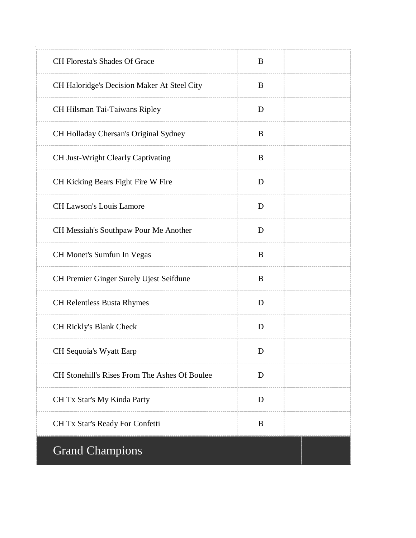| CH Floresta's Shades Of Grace                        | B        |  |
|------------------------------------------------------|----------|--|
| CH Haloridge's Decision Maker At Steel City          | B        |  |
| CH Hilsman Tai-Taiwans Ripley                        | D        |  |
| CH Holladay Chersan's Original Sydney                | B        |  |
| CH Just-Wright Clearly Captivating                   | B        |  |
| CH Kicking Bears Fight Fire W Fire                   | D        |  |
| <b>CH Lawson's Louis Lamore</b>                      | D        |  |
| CH Messiah's Southpaw Pour Me Another                | D        |  |
| CH Monet's Sumfun In Vegas                           | $\bf{B}$ |  |
| CH Premier Ginger Surely Ujest Seifdune              | $\bf{B}$ |  |
| CH Relentless Busta Rhymes                           | D        |  |
| CH Rickly's Blank Check                              | D        |  |
| CH Sequoia's Wyatt Earp                              | D        |  |
| <b>CH Stonehill's Rises From The Ashes Of Boulee</b> | D        |  |
| CH Tx Star's My Kinda Party                          | D        |  |
| CH Tx Star's Ready For Confetti                      | B        |  |
| <b>Grand Champions</b>                               |          |  |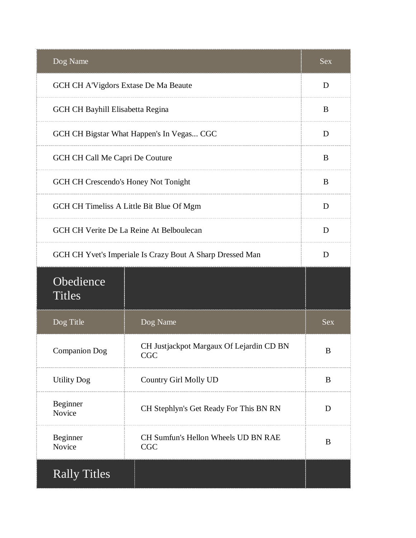| Dog Name                             |                                                           | <b>Sex</b> |
|--------------------------------------|-----------------------------------------------------------|------------|
| GCH CH A'Vigdors Extase De Ma Beaute |                                                           | D          |
| GCH CH Bayhill Elisabetta Regina     |                                                           | B          |
|                                      | GCH CH Bigstar What Happen's In Vegas CGC                 | D          |
| GCH CH Call Me Capri De Couture      |                                                           | B          |
| GCH CH Crescendo's Honey Not Tonight |                                                           | B          |
|                                      | GCH CH Timeliss A Little Bit Blue Of Mgm                  | D          |
|                                      | GCH CH Verite De La Reine At Belboulecan                  | D          |
|                                      | GCH CH Yvet's Imperiale Is Crazy Bout A Sharp Dressed Man | D          |
| Obedience<br><b>Titles</b>           |                                                           |            |
| Dog Title                            | Dog Name                                                  | <b>Sex</b> |
| <b>Companion Dog</b>                 | CH Justjackpot Margaux Of Lejardin CD BN<br><b>CGC</b>    | B          |
| <b>Utility Dog</b>                   | Country Girl Molly UD                                     | B          |
| Beginner<br>Novice                   | CH Stephlyn's Get Ready For This BN RN                    | D          |
| Beginner<br>Novice                   | CH Sumfun's Hellon Wheels UD BN RAE<br><b>CGC</b>         | B          |
| <b>Rally Titles</b>                  |                                                           |            |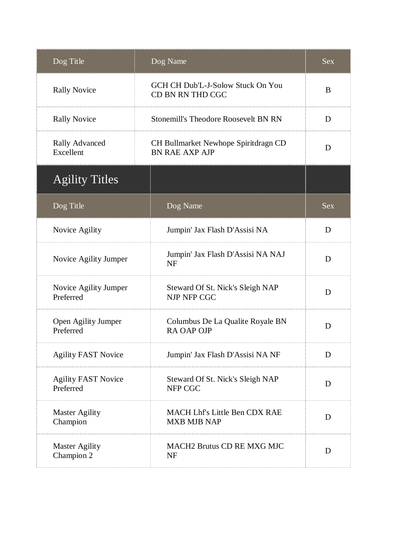| Dog Title                               | Dog Name                                                      | <b>Sex</b> |
|-----------------------------------------|---------------------------------------------------------------|------------|
| <b>Rally Novice</b>                     | GCH CH Dub'L-J-Solow Stuck On You<br>CD BN RN THD CGC         | B          |
| <b>Rally Novice</b>                     | <b>Stonemill's Theodore Roosevelt BN RN</b>                   | D          |
| <b>Rally Advanced</b><br>Excellent      | CH Bullmarket Newhope Spiritdragn CD<br><b>BN RAE AXP AJP</b> | D          |
| <b>Agility Titles</b>                   |                                                               |            |
| Dog Title                               | Dog Name                                                      | <b>Sex</b> |
| Novice Agility                          | Jumpin' Jax Flash D'Assisi NA                                 | D          |
| Novice Agility Jumper                   | Jumpin' Jax Flash D'Assisi NA NAJ<br><b>NF</b>                | D          |
| Novice Agility Jumper<br>Preferred      | Steward Of St. Nick's Sleigh NAP<br>NJP NFP CGC               | D          |
| Open Agility Jumper<br>Preferred        | Columbus De La Qualite Royale BN<br><b>RA OAP OJP</b>         | D          |
| <b>Agility FAST Novice</b>              | Jumpin' Jax Flash D'Assisi NA NF                              | D          |
| <b>Agility FAST Novice</b><br>Preferred | Steward Of St. Nick's Sleigh NAP<br>NFP CGC                   | D          |
| <b>Master Agility</b><br>Champion       | MACH Lhf's Little Ben CDX RAE<br><b>MXB MJB NAP</b>           | D          |
| <b>Master Agility</b><br>Champion 2     | MACH2 Brutus CD RE MXG MJC<br><b>NF</b>                       | D          |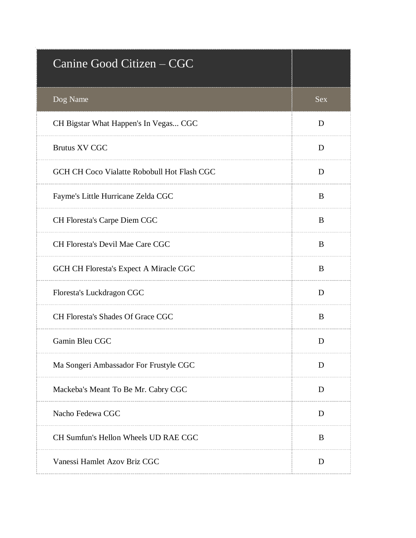| Canine Good Citizen - CGC                   |            |
|---------------------------------------------|------------|
| Dog Name                                    | <b>Sex</b> |
| CH Bigstar What Happen's In Vegas CGC       | D          |
| <b>Brutus XV CGC</b>                        | D          |
| GCH CH Coco Vialatte Robobull Hot Flash CGC | D          |
| Fayme's Little Hurricane Zelda CGC          | B          |
| CH Floresta's Carpe Diem CGC                | B          |
| CH Floresta's Devil Mae Care CGC            | B          |
| GCH CH Floresta's Expect A Miracle CGC      | B          |
| Floresta's Luckdragon CGC                   | D          |
| CH Floresta's Shades Of Grace CGC           | B          |
| Gamin Bleu CGC                              | D          |
| Ma Songeri Ambassador For Frustyle CGC      | D          |
| Mackeba's Meant To Be Mr. Cabry CGC         | D          |
| Nacho Fedewa CGC                            | D          |
| CH Sumfun's Hellon Wheels UD RAE CGC        | B          |
| Vanessi Hamlet Azov Briz CGC                | D          |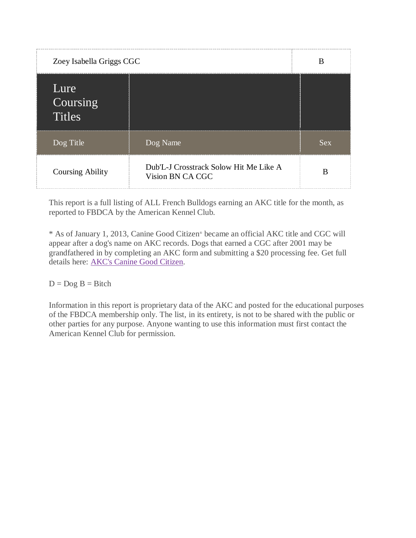| Zoey Isabella Griggs CGC          |                                                            | B          |
|-----------------------------------|------------------------------------------------------------|------------|
| Lure<br>Coursing<br><b>Titles</b> |                                                            |            |
| Dog Title                         | Dog Name                                                   | <b>Sex</b> |
| <b>Coursing Ability</b>           | Dub'L-J Crosstrack Solow Hit Me Like A<br>Vision BN CA CGC | B          |

\* As of January 1, 2013, Canine Good Citizen® became an official AKC title and CGC will appear after a dog's name on AKC records. Dogs that earned a CGC after 2001 may be grandfathered in by completing an AKC form and submitting a \$20 processing fee. Get full details here: [AKC's Canine Good Citizen.](http://www.akc.org/events/cgc/title.cfm)

 $D = Dog B = Bitch$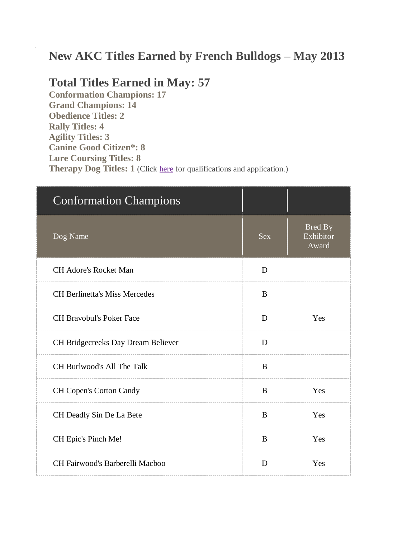## **New AKC Titles Earned by French Bulldogs – May 2013**

#### **Total Titles Earned in May: 57**

**Conformation Champions: 17 Grand Champions: 14 Obedience Titles: 2 Rally Titles: 4 Agility Titles: 3 Canine Good Citizen\*: 8 Lure Coursing Titles: 8 Therapy Dog Titles: 1** (Click [here](http://www.akc.org/akctherapydog/) for qualifications and application.)

| <b>Conformation Champions</b>        |            |                                      |
|--------------------------------------|------------|--------------------------------------|
| Dog Name                             | <b>Sex</b> | <b>Bred By</b><br>Exhibitor<br>Award |
| <b>CH Adore's Rocket Man</b>         | D          |                                      |
| <b>CH Berlinetta's Miss Mercedes</b> | B          |                                      |
| <b>CH Bravobul's Poker Face</b>      | D          | Yes                                  |
| CH Bridgecreeks Day Dream Believer   | D          |                                      |
| CH Burlwood's All The Talk           | B          |                                      |
| <b>CH Copen's Cotton Candy</b>       | B          | Yes                                  |
| CH Deadly Sin De La Bete             | B          | Yes                                  |
| CH Epic's Pinch Me!                  | B          | Yes                                  |
| CH Fairwood's Barberelli Macboo      | D          | Yes                                  |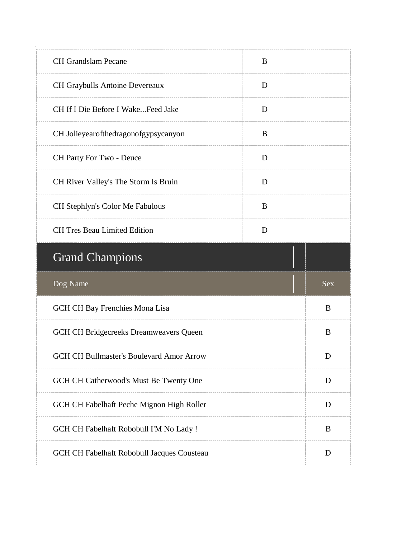| <b>CH Grandslam Pecane</b>                      | B |            |
|-------------------------------------------------|---|------------|
| CH Graybulls Antoine Devereaux                  | D |            |
| CH If I Die Before I WakeFeed Jake              | D |            |
| CH Jolieyearofthedragonofgypsycanyon            | B |            |
| CH Party For Two - Deuce                        | D |            |
| CH River Valley's The Storm Is Bruin            | D |            |
| CH Stephlyn's Color Me Fabulous                 | B |            |
| <b>CH Tres Beau Limited Edition</b>             | D |            |
|                                                 |   |            |
| <b>Grand Champions</b>                          |   |            |
| Dog Name                                        |   | <b>Sex</b> |
| GCH CH Bay Frenchies Mona Lisa                  |   | B          |
| GCH CH Bridgecreeks Dreamweavers Queen          |   | B          |
| <b>GCH CH Bullmaster's Boulevard Amor Arrow</b> |   | D          |
| GCH CH Catherwood's Must Be Twenty One          |   | D          |
| GCH CH Fabelhaft Peche Mignon High Roller       |   | D          |
| GCH CH Fabelhaft Robobull I'M No Lady !         |   | B          |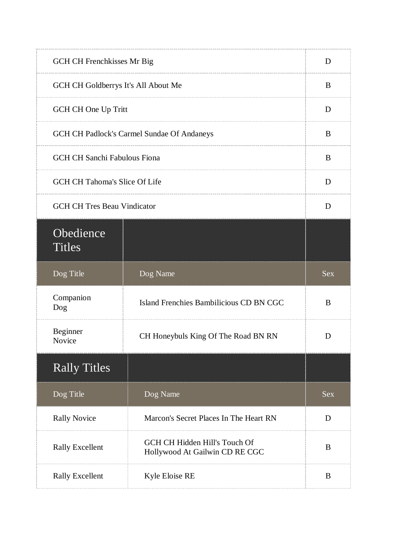| GCH CH Frenchkisses Mr Big          |                                                                 | D          |
|-------------------------------------|-----------------------------------------------------------------|------------|
| GCH CH Goldberrys It's All About Me |                                                                 | B          |
| GCH CH One Up Tritt                 |                                                                 | D          |
|                                     | GCH CH Padlock's Carmel Sundae Of Andaneys                      | B          |
| <b>GCH CH Sanchi Fabulous Fiona</b> |                                                                 | B          |
| GCH CH Tahoma's Slice Of Life       |                                                                 | D          |
| <b>GCH CH Tres Beau Vindicator</b>  |                                                                 | D          |
| Obedience<br><b>Titles</b>          |                                                                 |            |
| Dog Title                           | Dog Name                                                        | <b>Sex</b> |
| Companion<br>Dog                    | Island Frenchies Bambilicious CD BN CGC                         | B          |
| Beginner<br>Novice                  | CH Honeybuls King Of The Road BN RN                             | D          |
| <b>Rally Titles</b>                 |                                                                 |            |
| Dog Title                           | Dog Name                                                        | <b>Sex</b> |
| <b>Rally Novice</b>                 | Marcon's Secret Places In The Heart RN                          | D          |
| <b>Rally Excellent</b>              | GCH CH Hidden Hill's Touch Of<br>Hollywood At Gailwin CD RE CGC | B          |
| <b>Rally Excellent</b>              | Kyle Eloise RE                                                  | B          |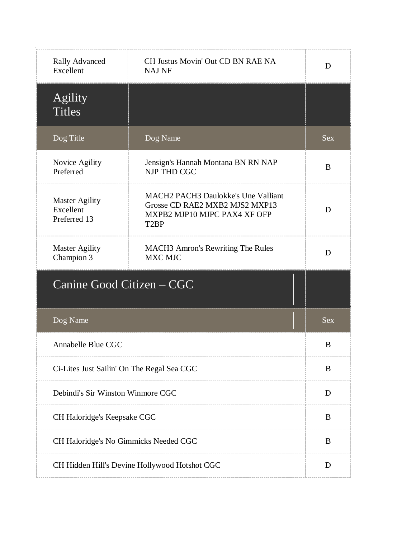| <b>Rally Advanced</b><br>Excellent                 | CH Justus Movin' Out CD BN RAE NA<br><b>NAJ NF</b>                                                                                | D          |
|----------------------------------------------------|-----------------------------------------------------------------------------------------------------------------------------------|------------|
| Agility<br><b>Titles</b>                           |                                                                                                                                   |            |
| Dog Title                                          | Dog Name                                                                                                                          | <b>Sex</b> |
| Novice Agility<br>Preferred                        | Jensign's Hannah Montana BN RN NAP<br><b>NJP THD CGC</b>                                                                          | B          |
| <b>Master Agility</b><br>Excellent<br>Preferred 13 | <b>MACH2 PACH3 Daulokke's Une Valliant</b><br>Grosse CD RAE2 MXB2 MJS2 MXP13<br>MXPB2 MJP10 MJPC PAX4 XF OFP<br>T <sub>2</sub> BP | D          |
| <b>Master Agility</b><br>Champion 3                | <b>MACH3</b> Amron's Rewriting The Rules<br><b>MXC MJC</b>                                                                        | D          |
| Canine Good Citizen – CGC                          |                                                                                                                                   |            |
| Dog Name                                           |                                                                                                                                   | <b>Sex</b> |
| Annabelle Blue CGC                                 |                                                                                                                                   | B          |
| Ci-Lites Just Sailin' On The Regal Sea CGC         |                                                                                                                                   | B          |
| Debindi's Sir Winston Winmore CGC                  |                                                                                                                                   | D          |
| CH Haloridge's Keepsake CGC                        |                                                                                                                                   | B          |
| CH Haloridge's No Gimmicks Needed CGC              |                                                                                                                                   | B          |
| CH Hidden Hill's Devine Hollywood Hotshot CGC      |                                                                                                                                   | D          |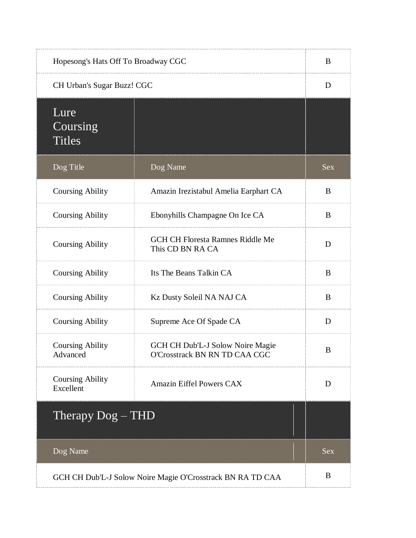| Hopesong's Hats Off To Broadway CGC  |                                                                   | B          |
|--------------------------------------|-------------------------------------------------------------------|------------|
| CH Urban's Sugar Buzz! CGC           |                                                                   | D          |
| Lure<br>Coursing<br><b>Titles</b>    |                                                                   |            |
| Dog Title                            | Dog Name                                                          | <b>Sex</b> |
| <b>Coursing Ability</b>              | Amazin Irezistabul Amelia Earphart CA                             | B          |
| <b>Coursing Ability</b>              | Ebonyhills Champagne On Ice CA                                    | B          |
| <b>Coursing Ability</b>              | <b>GCH CH Floresta Ramnes Riddle Me</b><br>This CD BN RA CA       | D          |
| <b>Coursing Ability</b>              | Its The Beans Talkin CA                                           | B          |
| <b>Coursing Ability</b>              | Kz Dusty Soleil NA NAJ CA                                         | B          |
| <b>Coursing Ability</b>              | Supreme Ace Of Spade CA                                           | D          |
| <b>Coursing Ability</b><br>Advanced  | GCH CH Dub'L-J Solow Noire Magie<br>O'Crosstrack BN RN TD CAA CGC | B          |
| <b>Coursing Ability</b><br>Excellent | Amazin Eiffel Powers CAX                                          | D          |
| Therapy $Dog - THD$                  |                                                                   |            |
| Dog Name                             |                                                                   | <b>Sex</b> |
|                                      | GCH CH Dub'L-J Solow Noire Magie O'Crosstrack BN RA TD CAA        | B          |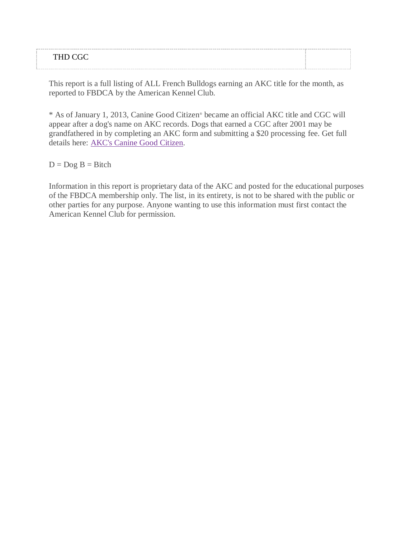#### THD CGC

This report is a full listing of ALL French Bulldogs earning an AKC title for the month, as reported to FBDCA by the American Kennel Club.

\* As of January 1, 2013, Canine Good Citizen® became an official AKC title and CGC will appear after a dog's name on AKC records. Dogs that earned a CGC after 2001 may be grandfathered in by completing an AKC form and submitting a \$20 processing fee. Get full details here: [AKC's Canine Good Citizen.](http://www.akc.org/events/cgc/title.cfm)

 $D = Dog B = Bitch$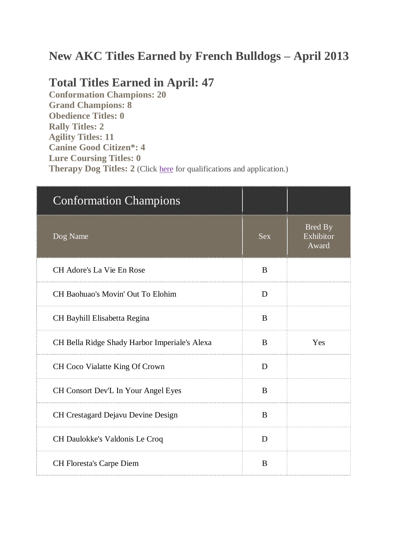# **New AKC Titles Earned by French Bulldogs – April 2013**

### **Total Titles Earned in April: 47**

**Conformation Champions: 20 Grand Champions: 8 Obedience Titles: 0 Rally Titles: 2 Agility Titles: 11 Canine Good Citizen\*: 4 Lure Coursing Titles: 0 Therapy Dog Titles: 2** (Click [here](http://www.akc.org/akctherapydog/) for qualifications and application.)

| <b>Conformation Champions</b>                 |            |                                      |
|-----------------------------------------------|------------|--------------------------------------|
| Dog Name                                      | <b>Sex</b> | <b>Bred By</b><br>Exhibitor<br>Award |
| CH Adore's La Vie En Rose                     | B          |                                      |
| CH Baohuao's Movin' Out To Elohim             | D          |                                      |
| CH Bayhill Elisabetta Regina                  | B          |                                      |
| CH Bella Ridge Shady Harbor Imperiale's Alexa | B          | Yes                                  |
| CH Coco Vialatte King Of Crown                | D          |                                      |
| CH Consort Dev'L In Your Angel Eyes           | B          |                                      |
| CH Crestagard Dejavu Devine Design            | B          |                                      |
| CH Daulokke's Valdonis Le Croq                | D          |                                      |
| CH Floresta's Carpe Diem                      | B          |                                      |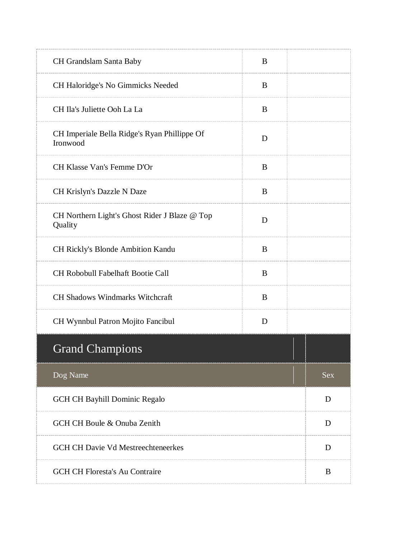| CH Grandslam Santa Baby                                  | B |            |
|----------------------------------------------------------|---|------------|
| CH Haloridge's No Gimmicks Needed                        | B |            |
| CH Ila's Juliette Ooh La La                              | B |            |
| CH Imperiale Bella Ridge's Ryan Phillippe Of<br>Ironwood | D |            |
| CH Klasse Van's Femme D'Or                               | B |            |
| CH Krislyn's Dazzle N Daze                               | B |            |
| CH Northern Light's Ghost Rider J Blaze @ Top<br>Quality | D |            |
| CH Rickly's Blonde Ambition Kandu                        | B |            |
| <b>CH Robobull Fabelhaft Bootie Call</b>                 | B |            |
| CH Shadows Windmarks Witchcraft                          | B |            |
| CH Wynnbul Patron Mojito Fancibul                        | D |            |
| <b>Grand Champions</b>                                   |   |            |
| Dog Name                                                 |   | <b>Sex</b> |
| GCH CH Bayhill Dominic Regalo                            |   | D          |
| GCH CH Boule & Onuba Zenith                              |   | D          |
| <b>GCH CH Davie Vd Mestreechteneerkes</b>                |   | D          |
| <b>GCH CH Floresta's Au Contraire</b>                    |   | B          |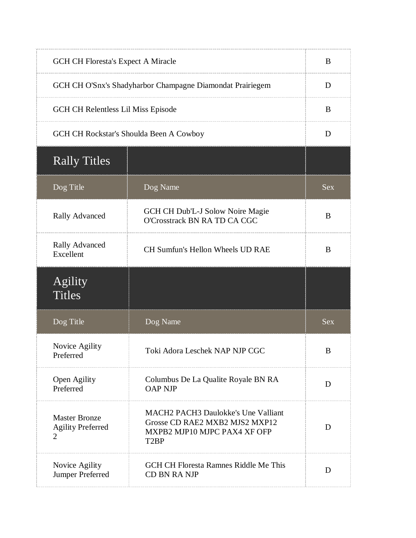| <b>GCH CH Floresta's Expect A Miracle</b>                          |                                                                                                                                   | B          |
|--------------------------------------------------------------------|-----------------------------------------------------------------------------------------------------------------------------------|------------|
| GCH CH O'Snx's Shadyharbor Champagne Diamondat Prairiegem          |                                                                                                                                   | D          |
|                                                                    | GCH CH Relentless Lil Miss Episode                                                                                                |            |
|                                                                    | GCH CH Rockstar's Shoulda Been A Cowboy                                                                                           | D          |
| <b>Rally Titles</b>                                                |                                                                                                                                   |            |
| Dog Title                                                          | Dog Name                                                                                                                          | <b>Sex</b> |
| <b>Rally Advanced</b>                                              | GCH CH Dub'L-J Solow Noire Magie<br>O'Crosstrack BN RA TD CA CGC                                                                  | B          |
| <b>Rally Advanced</b><br>Excellent                                 | CH Sumfun's Hellon Wheels UD RAE                                                                                                  | B          |
|                                                                    |                                                                                                                                   |            |
| Agility<br><b>Titles</b>                                           |                                                                                                                                   |            |
| Dog Title                                                          | Dog Name                                                                                                                          | <b>Sex</b> |
| Novice Agility<br>Preferred                                        | Toki Adora Leschek NAP NJP CGC                                                                                                    | B          |
| Open Agility<br>Preferred                                          | Columbus De La Qualite Royale BN RA<br><b>OAP NJP</b>                                                                             | D          |
| <b>Master Bronze</b><br><b>Agility Preferred</b><br>$\overline{2}$ | <b>MACH2 PACH3 Daulokke's Une Valliant</b><br>Grosse CD RAE2 MXB2 MJS2 MXP12<br>MXPB2 MJP10 MJPC PAX4 XF OFP<br>T <sub>2</sub> BP | D          |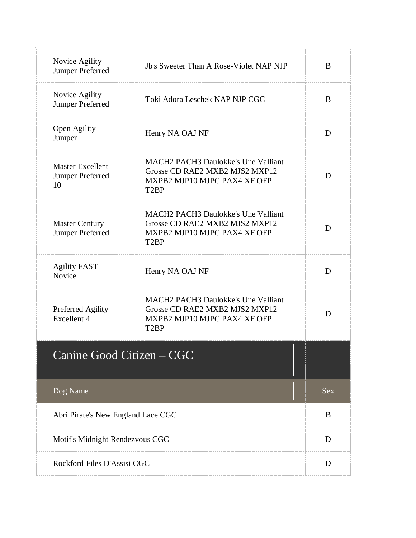| Novice Agility<br>Jumper Preferred                | Jb's Sweeter Than A Rose-Violet NAP NJP                                                                                                                  | B          |
|---------------------------------------------------|----------------------------------------------------------------------------------------------------------------------------------------------------------|------------|
| Novice Agility<br>Jumper Preferred                | Toki Adora Leschek NAP NJP CGC                                                                                                                           | B          |
| Open Agility<br>Jumper                            | Henry NA OAJ NF                                                                                                                                          | D          |
| <b>Master Excellent</b><br>Jumper Preferred<br>10 | <b>MACH<sub>2</sub></b> PACH <sub>3</sub> Daulokke's Une Valliant<br>Grosse CD RAE2 MXB2 MJS2 MXP12<br>MXPB2 MJP10 MJPC PAX4 XF OFP<br>T <sub>2</sub> BP | D          |
| <b>Master Century</b><br>Jumper Preferred         | <b>MACH2 PACH3 Daulokke's Une Valliant</b><br>Grosse CD RAE2 MXB2 MJS2 MXP12<br>MXPB2 MJP10 MJPC PAX4 XF OFP<br>T <sub>2</sub> BP                        | D          |
| <b>Agility FAST</b><br>Novice                     | Henry NA OAJ NF                                                                                                                                          | D          |
| Preferred Agility<br>Excellent 4                  | <b>MACH2 PACH3 Daulokke's Une Valliant</b><br>Grosse CD RAE2 MXB2 MJS2 MXP12<br>MXPB2 MJP10 MJPC PAX4 XF OFP<br>T <sub>2</sub> BP                        | D          |
| Canine Good Citizen – CGC                         |                                                                                                                                                          |            |
| Dog Name                                          |                                                                                                                                                          | <b>Sex</b> |
| Abri Pirate's New England Lace CGC                |                                                                                                                                                          | B          |
| Motif's Midnight Rendezvous CGC                   |                                                                                                                                                          | D          |
| Rockford Files D'Assisi CGC                       |                                                                                                                                                          | D          |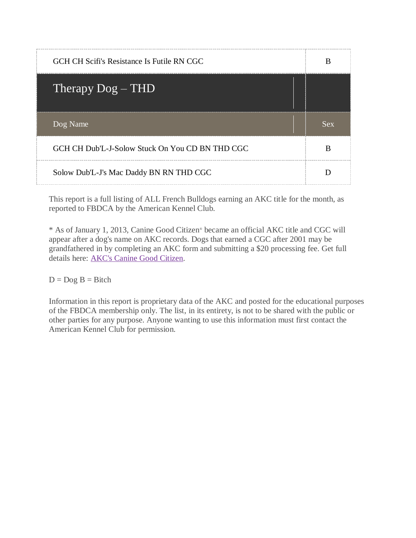| GCH CH Scifi's Resistance Is Futile RN CGC      | B   |
|-------------------------------------------------|-----|
| Therapy $Dog - THD$                             |     |
| Dog Name                                        | Sex |
|                                                 |     |
| GCH CH Dub'L-J-Solow Stuck On You CD BN THD CGC |     |

\* As of January 1, 2013, Canine Good Citizen® became an official AKC title and CGC will appear after a dog's name on AKC records. Dogs that earned a CGC after 2001 may be grandfathered in by completing an AKC form and submitting a \$20 processing fee. Get full details here: [AKC's Canine Good Citizen.](http://www.akc.org/events/cgc/title.cfm)

 $D = Dog B = Bitch$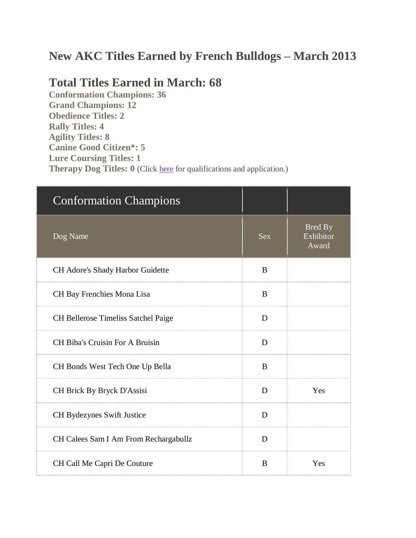# **New AKC Titles Earned by French Bulldogs – March 2013**

## **Total Titles Earned in March: 68**

**Conformation Champions: 36 Grand Champions: 12 Obedience Titles: 2 Rally Titles: 4 Agility Titles: 8 Canine Good Citizen\*: 5 Lure Coursing Titles: 1 Therapy Dog Titles: 0** (Click [here](http://www.akc.org/akctherapydog/) for qualifications and application.)

| <b>Conformation Champions</b>          |              |                                      |
|----------------------------------------|--------------|--------------------------------------|
| Dog Name                               | <b>Sex</b>   | <b>Bred By</b><br>Exhibitor<br>Award |
| CH Adore's Shady Harbor Guidette       | B            |                                      |
| CH Bay Frenchies Mona Lisa             | <sup>B</sup> |                                      |
| CH Bellerose Timeliss Satchel Paige    | D            |                                      |
| <b>CH Biba's Cruisin For A Bruisin</b> | D            |                                      |
| CH Bonds West Tech One Up Bella        | B            |                                      |
| CH Brick By Bryck D'Assisi             | D            | Yes                                  |
| CH Bydezynes Swift Justice             | D            |                                      |
| CH Calees Sam I Am From Rechargabullz  | D            |                                      |
| CH Call Me Capri De Couture            | B            | Yes                                  |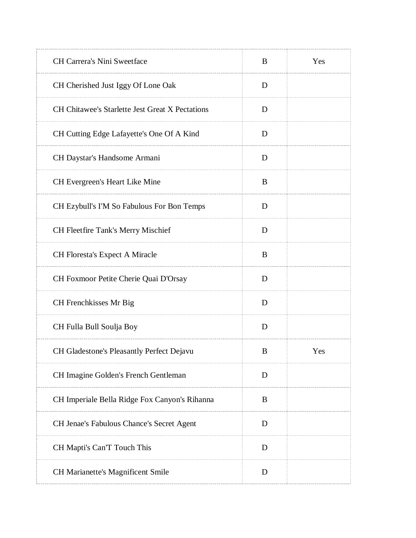| CH Carrera's Nini Sweetface                            | B | Yes |
|--------------------------------------------------------|---|-----|
| CH Cherished Just Iggy Of Lone Oak                     | D |     |
| <b>CH Chitawee's Starlette Jest Great X Pectations</b> | D |     |
| CH Cutting Edge Lafayette's One Of A Kind              | D |     |
| CH Daystar's Handsome Armani                           | D |     |
| CH Evergreen's Heart Like Mine                         | B |     |
| CH Ezybull's I'M So Fabulous For Bon Temps             | D |     |
| <b>CH Fleetfire Tank's Merry Mischief</b>              | D |     |
| CH Floresta's Expect A Miracle                         | B |     |
| CH Foxmoor Petite Cherie Quai D'Orsay                  | D |     |
| CH Frenchkisses Mr Big                                 | D |     |
| CH Fulla Bull Soulja Boy                               | D |     |
| CH Gladestone's Pleasantly Perfect Dejavu              | B | Yes |
| CH Imagine Golden's French Gentleman                   | D |     |
| CH Imperiale Bella Ridge Fox Canyon's Rihanna          | B |     |
| CH Jenae's Fabulous Chance's Secret Agent              | D |     |
| CH Mapti's Can'T Touch This                            | D |     |
| CH Marianette's Magnificent Smile                      | D |     |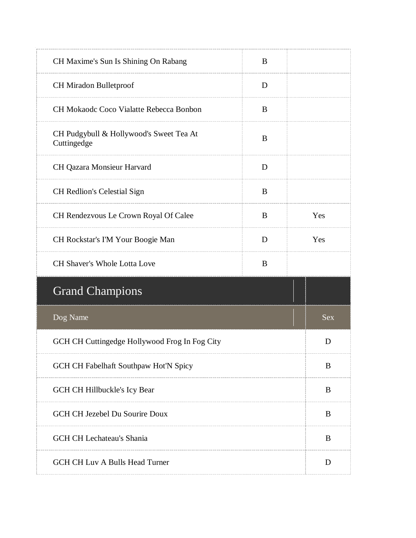| CH Maxime's Sun Is Shining On Rabang                   | B |            |
|--------------------------------------------------------|---|------------|
| CH Miradon Bulletproof                                 | D |            |
| CH Mokaodc Coco Vialatte Rebecca Bonbon                | B |            |
| CH Pudgybull & Hollywood's Sweet Tea At<br>Cuttingedge | B |            |
| CH Qazara Monsieur Harvard                             | D |            |
| CH Redlion's Celestial Sign                            | B |            |
| CH Rendezvous Le Crown Royal Of Calee                  | B | Yes        |
| CH Rockstar's I'M Your Boogie Man                      | D | Yes        |
| <b>CH Shaver's Whole Lotta Love</b>                    | B |            |
| <b>Grand Champions</b>                                 |   |            |
| Dog Name                                               |   | <b>Sex</b> |
| GCH CH Cuttingedge Hollywood Frog In Fog City          |   | D          |
| GCH CH Fabelhaft Southpaw Hot'N Spicy                  |   | B          |
| GCH CH Hillbuckle's Icy Bear                           |   | B          |
| GCH CH Jezebel Du Sourire Doux                         |   | B          |
| <b>GCH CH Lechateau's Shania</b>                       |   | B          |
| <b>GCH CH Luv A Bulls Head Turner</b>                  |   | D          |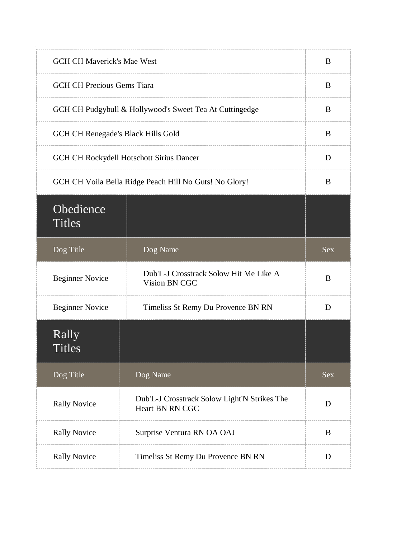| <b>GCH CH Maverick's Mae West</b>  |                                                                        | B          |
|------------------------------------|------------------------------------------------------------------------|------------|
| <b>GCH CH Precious Gems Tiara</b>  |                                                                        | B          |
|                                    | GCH CH Pudgybull & Hollywood's Sweet Tea At Cuttingedge                | B          |
| GCH CH Renegade's Black Hills Gold |                                                                        | B          |
|                                    | GCH CH Rockydell Hotschott Sirius Dancer                               | D          |
|                                    | GCH CH Voila Bella Ridge Peach Hill No Guts! No Glory!                 | B          |
| Obedience<br><b>Titles</b>         |                                                                        |            |
| Dog Title                          | Dog Name                                                               | <b>Sex</b> |
| <b>Beginner Novice</b>             | Dub'L-J Crosstrack Solow Hit Me Like A<br>Vision BN CGC                | B          |
| <b>Beginner Novice</b>             | Timeliss St Remy Du Provence BN RN                                     | D          |
| Rally<br><b>Titles</b>             |                                                                        |            |
| Dog Title                          | Dog Name                                                               | Sex        |
| <b>Rally Novice</b>                | Dub'L-J Crosstrack Solow Light'N Strikes The<br><b>Heart BN RN CGC</b> | D          |
| <b>Rally Novice</b>                | Surprise Ventura RN OA OAJ                                             | B          |
| <b>Rally Novice</b>                | Timeliss St Remy Du Provence BN RN                                     | D          |
|                                    |                                                                        |            |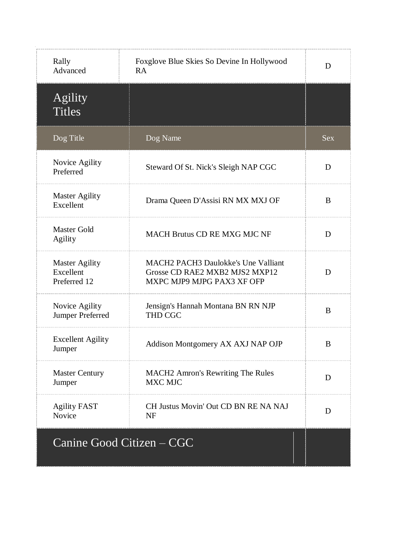| Rally<br>Advanced                                  | Foxglove Blue Skies So Devine In Hollywood<br>RA                                                           | D          |
|----------------------------------------------------|------------------------------------------------------------------------------------------------------------|------------|
| Agility<br><b>Titles</b>                           |                                                                                                            |            |
| Dog Title                                          | Dog Name                                                                                                   | <b>Sex</b> |
| Novice Agility<br>Preferred                        | Steward Of St. Nick's Sleigh NAP CGC                                                                       | D          |
| <b>Master Agility</b><br>Excellent                 | Drama Queen D'Assisi RN MX MXJ OF                                                                          | B          |
| <b>Master Gold</b><br><b>Agility</b>               | <b>MACH Brutus CD RE MXG MJC NF</b>                                                                        | D          |
| <b>Master Agility</b><br>Excellent<br>Preferred 12 | <b>MACH2 PACH3 Daulokke's Une Valliant</b><br>Grosse CD RAE2 MXB2 MJS2 MXP12<br>MXPC MJP9 MJPG PAX3 XF OFP | D          |
| Novice Agility<br>Jumper Preferred                 | Jensign's Hannah Montana BN RN NJP<br><b>THD CGC</b>                                                       | B          |
| <b>Excellent Agility</b><br>Jumper                 | Addison Montgomery AX AXJ NAP OJP                                                                          | B          |
| <b>Master Century</b><br>Jumper                    | <b>MACH2</b> Amron's Rewriting The Rules<br><b>MXC MJC</b>                                                 | D          |
| <b>Agility FAST</b><br>Novice                      | CH Justus Movin' Out CD BN RE NA NAJ<br><b>NF</b>                                                          | D          |
|                                                    | Canine Good Citizen – CGC                                                                                  |            |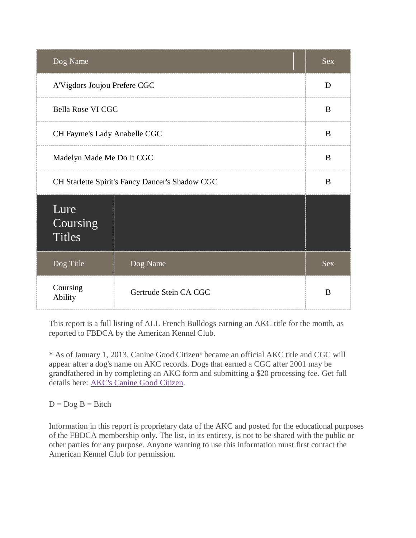| Dog Name                                        |                           | <b>Sex</b> |
|-------------------------------------------------|---------------------------|------------|
| A'Vigdors Joujou Prefere CGC                    |                           | D          |
| Bella Rose VI CGC                               |                           | B          |
| CH Fayme's Lady Anabelle CGC                    |                           | B          |
|                                                 | Madelyn Made Me Do It CGC |            |
| CH Starlette Spirit's Fancy Dancer's Shadow CGC |                           | B          |
| Lure<br>Coursing<br><b>Titles</b>               |                           |            |
| Dog Title                                       | Dog Name                  | <b>Sex</b> |
| Coursing<br>Ability                             | Gertrude Stein CA CGC     | B          |

\* As of January 1, 2013, Canine Good Citizen® became an official AKC title and CGC will appear after a dog's name on AKC records. Dogs that earned a CGC after 2001 may be grandfathered in by completing an AKC form and submitting a \$20 processing fee. Get full details here: [AKC's Canine Good Citizen.](http://www.akc.org/events/cgc/title.cfm)

#### $D = Dog B = Bitch$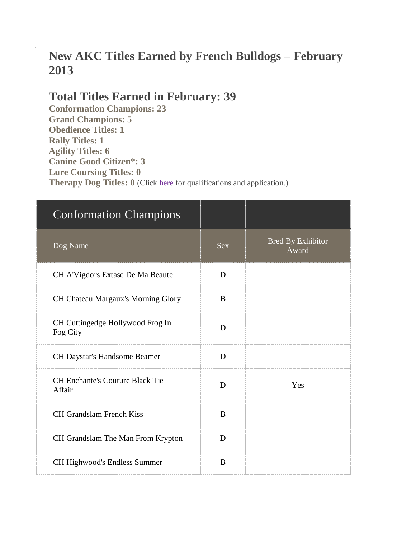# **New AKC Titles Earned by French Bulldogs – February 2013**

### **Total Titles Earned in February: 39**

**Conformation Champions: 23 Grand Champions: 5 Obedience Titles: 1 Rally Titles: 1 Agility Titles: 6 Canine Good Citizen\*: 3 Lure Coursing Titles: 0 Therapy Dog Titles: 0** (Click [here](http://www.akc.org/akctherapydog/) for qualifications and application.)

| <b>Conformation Champions</b>                    |            |                                   |
|--------------------------------------------------|------------|-----------------------------------|
| Dog Name                                         | <b>Sex</b> | <b>Bred By Exhibitor</b><br>Award |
| CH A'Vigdors Extase De Ma Beaute                 | D          |                                   |
| CH Chateau Margaux's Morning Glory               | B          |                                   |
| CH Cuttingedge Hollywood Frog In<br>Fog City     | D          |                                   |
| CH Daystar's Handsome Beamer                     | D          |                                   |
| <b>CH Enchante's Couture Black Tie</b><br>Affair | D          | Yes                               |
| <b>CH Grandslam French Kiss</b>                  | B          |                                   |
| CH Grandslam The Man From Krypton                | D          |                                   |
| CH Highwood's Endless Summer                     | B          |                                   |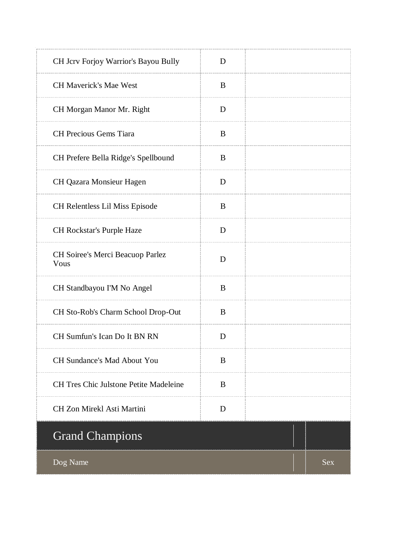| CH Jcrv Forjoy Warrior's Bayou Bully          | D |     |
|-----------------------------------------------|---|-----|
| <b>CH Maverick's Mae West</b>                 | B |     |
| CH Morgan Manor Mr. Right                     | D |     |
| <b>CH Precious Gems Tiara</b>                 | B |     |
| CH Prefere Bella Ridge's Spellbound           | B |     |
| CH Qazara Monsieur Hagen                      | D |     |
| CH Relentless Lil Miss Episode                | B |     |
| CH Rockstar's Purple Haze                     | D |     |
| CH Soiree's Merci Beacuop Parlez<br>Vous      | D |     |
| CH Standbayou I'M No Angel                    | B |     |
| CH Sto-Rob's Charm School Drop-Out            | B |     |
| CH Sumfun's Ican Do It BN RN                  | D |     |
| CH Sundance's Mad About You                   | B |     |
| <b>CH Tres Chic Julstone Petite Madeleine</b> | B |     |
| CH Zon Mirekl Asti Martini                    | D |     |
| <b>Grand Champions</b>                        |   |     |
| Dog Name                                      |   | Sex |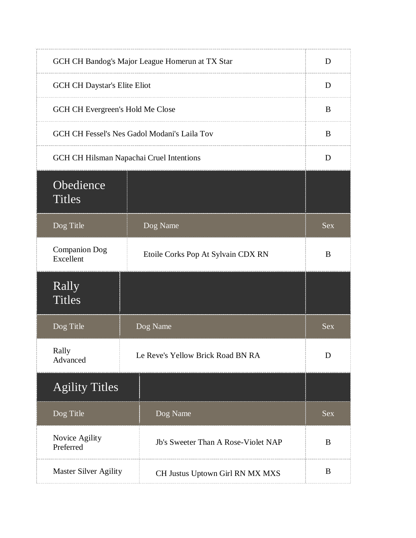|                                              | GCH CH Bandog's Major League Homerun at TX Star | D          |
|----------------------------------------------|-------------------------------------------------|------------|
| <b>GCH CH Daystar's Elite Eliot</b>          |                                                 | D          |
| GCH CH Evergreen's Hold Me Close             |                                                 | B          |
| GCH CH Fessel's Nes Gadol Modani's Laila Tov |                                                 | B          |
|                                              | GCH CH Hilsman Napachai Cruel Intentions        |            |
| Obedience<br><b>Titles</b>                   |                                                 |            |
| Dog Title                                    | Dog Name                                        | <b>Sex</b> |
| <b>Companion Dog</b><br>Excellent            | Etoile Corks Pop At Sylvain CDX RN              | B          |
| Rally<br><b>Titles</b>                       |                                                 |            |
| Dog Title                                    | Dog Name                                        | <b>Sex</b> |
| Rally<br>Advanced                            | Le Reve's Yellow Brick Road BN RA               | D          |
| <b>Agility Titles</b>                        |                                                 |            |
| Dog Title                                    | Dog Name                                        | Sex        |
| Novice Agility<br>Preferred                  | Jb's Sweeter Than A Rose-Violet NAP             | B          |
| Master Silver Agility                        | CH Justus Uptown Girl RN MX MXS                 | B          |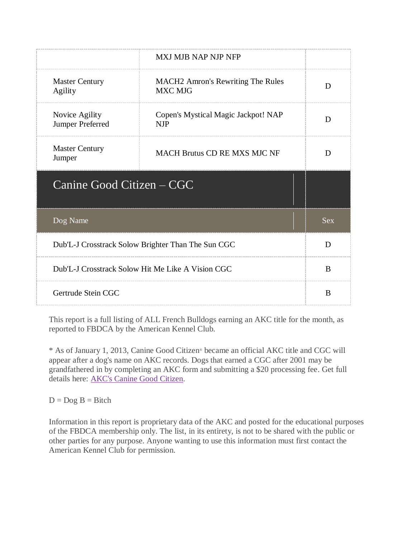| MXJ MJB NAP NJP NFP                                        |            |
|------------------------------------------------------------|------------|
| <b>MACH2</b> Amron's Rewriting The Rules<br><b>MXC MJG</b> | D          |
| Copen's Mystical Magic Jackpot! NAP<br><b>NJP</b>          | D          |
| <b>MACH Brutus CD RE MXS MJC NF</b>                        | D          |
| Canine Good Citizen – CGC                                  |            |
|                                                            | <b>Sex</b> |
| Dub'L-J Crosstrack Solow Brighter Than The Sun CGC         |            |
| Dub'L-J Crosstrack Solow Hit Me Like A Vision CGC          |            |
| Gertrude Stein CGC                                         |            |
|                                                            |            |

\* As of January 1, 2013, Canine Good Citizen® became an official AKC title and CGC will appear after a dog's name on AKC records. Dogs that earned a CGC after 2001 may be grandfathered in by completing an AKC form and submitting a \$20 processing fee. Get full details here: [AKC's Canine Good Citizen.](http://www.akc.org/events/cgc/title.cfm)

 $D = Dog B = Bitch$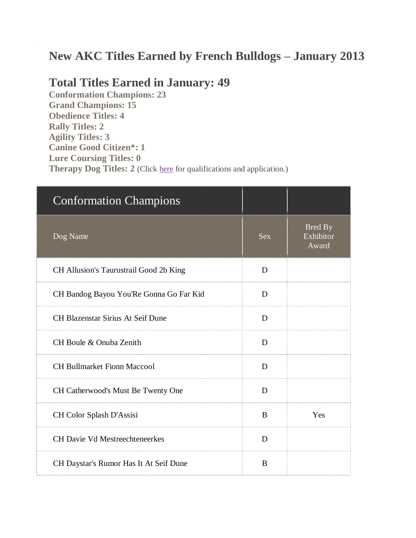# **New AKC Titles Earned by French Bulldogs – January 2013**

#### **Total Titles Earned in January: 49**

**Conformation Champions: 23 Grand Champions: 15 Obedience Titles: 4 Rally Titles: 2 Agility Titles: 3 Canine Good Citizen\*: 1 Lure Coursing Titles: 0 Therapy Dog Titles: 2** (Click [here](http://www.akc.org/akctherapydog/) for qualifications and application.)

| <b>Conformation Champions</b>            |            |                                      |
|------------------------------------------|------------|--------------------------------------|
| Dog Name                                 | <b>Sex</b> | <b>Bred By</b><br>Exhibitor<br>Award |
| CH Allusion's Taurustrail Good 2b King   | D          |                                      |
| CH Bandog Bayou You'Re Gonna Go Far Kid  | D          |                                      |
| <b>CH Blazenstar Sirius At Seif Dune</b> | D          |                                      |
| CH Boule & Onuba Zenith                  | D          |                                      |
| <b>CH Bullmarket Fionn Maccool</b>       | D          |                                      |
| CH Catherwood's Must Be Twenty One       | D          |                                      |
| CH Color Splash D'Assisi                 | B          | Yes                                  |
| <b>CH Davie Vd Mestreechteneerkes</b>    | D          |                                      |
| CH Daystar's Rumor Has It At Seif Dune   | B          |                                      |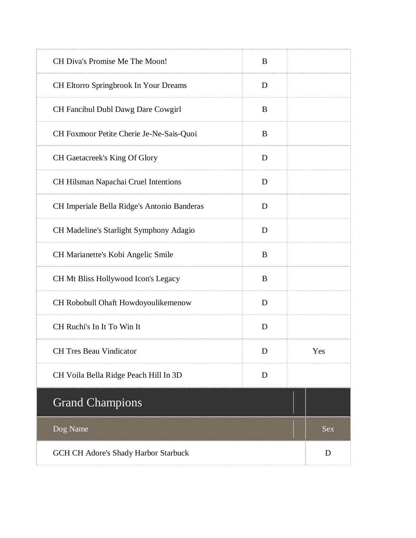| CH Diva's Promise Me The Moon!               | B |     |
|----------------------------------------------|---|-----|
| <b>CH Eltorro Springbrook In Your Dreams</b> | D |     |
| CH Fancibul Dubl Dawg Dare Cowgirl           | B |     |
| CH Foxmoor Petite Cherie Je-Ne-Sais-Quoi     | B |     |
| CH Gaetacreek's King Of Glory                | D |     |
| CH Hilsman Napachai Cruel Intentions         | D |     |
| CH Imperiale Bella Ridge's Antonio Banderas  | D |     |
| CH Madeline's Starlight Symphony Adagio      | D |     |
| CH Marianette's Kobi Angelic Smile           | B |     |
| CH Mt Bliss Hollywood Icon's Legacy          | B |     |
| CH Robobull Ohaft Howdoyoulikemenow          | D |     |
| CH Ruchi's In It To Win It                   | D |     |
| <b>CH</b> Tres Beau Vindicator               | D | Yes |
| CH Voila Bella Ridge Peach Hill In 3D        | D |     |
| <b>Grand Champions</b>                       |   |     |
| Dog Name                                     |   | Sex |
| GCH CH Adore's Shady Harbor Starbuck         |   | D   |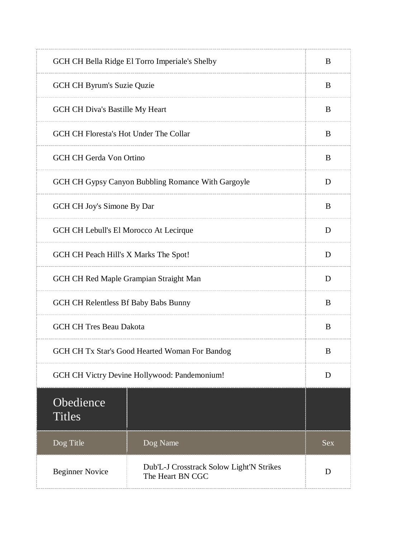| GCH CH Bella Ridge El Torro Imperiale's Shelby |                                                              | B          |
|------------------------------------------------|--------------------------------------------------------------|------------|
|                                                | GCH CH Byrum's Suzie Quzie                                   |            |
|                                                | GCH CH Diva's Bastille My Heart                              |            |
| GCH CH Floresta's Hot Under The Collar         |                                                              | B          |
| <b>GCH CH Gerda Von Ortino</b>                 |                                                              | B          |
|                                                | GCH CH Gypsy Canyon Bubbling Romance With Gargoyle           | D          |
| GCH CH Joy's Simone By Dar                     |                                                              | B          |
| GCH CH Lebull's El Morocco At Lecirque         |                                                              | D          |
| GCH CH Peach Hill's X Marks The Spot!          |                                                              | D          |
| GCH CH Red Maple Grampian Straight Man         |                                                              | D          |
| GCH CH Relentless Bf Baby Babs Bunny           |                                                              | B          |
| <b>GCH CH Tres Beau Dakota</b>                 |                                                              | B          |
| GCH CH Tx Star's Good Hearted Woman For Bandog |                                                              | B          |
| GCH CH Victry Devine Hollywood: Pandemonium!   |                                                              | D          |
| Obedience<br><b>Titles</b>                     |                                                              |            |
| Dog Title                                      | Dog Name                                                     | <b>Sex</b> |
| <b>Beginner Novice</b>                         | Dub'L-J Crosstrack Solow Light'N Strikes<br>The Heart BN CGC | D          |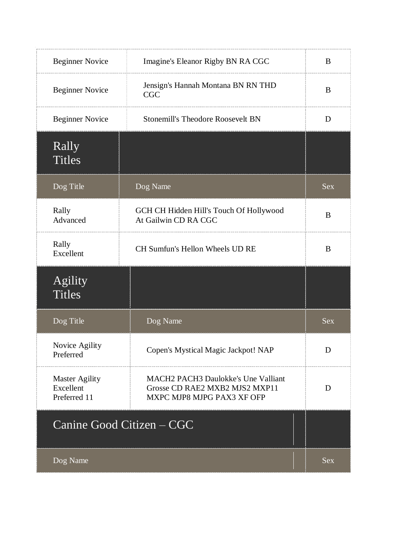| <b>Beginner Novice</b>                             | Imagine's Eleanor Rigby BN RA CGC                                                                          | B          |
|----------------------------------------------------|------------------------------------------------------------------------------------------------------------|------------|
| <b>Beginner Novice</b>                             | Jensign's Hannah Montana BN RN THD<br><b>CGC</b>                                                           | B          |
| <b>Beginner Novice</b>                             | <b>Stonemill's Theodore Roosevelt BN</b>                                                                   | D          |
| Rally<br><b>Titles</b>                             |                                                                                                            |            |
| Dog Title                                          | Dog Name                                                                                                   | <b>Sex</b> |
| Rally<br>Advanced                                  | GCH CH Hidden Hill's Touch Of Hollywood<br>At Gailwin CD RA CGC                                            | B          |
| Rally<br>Excellent                                 | CH Sumfun's Hellon Wheels UD RE                                                                            | B          |
| Agility<br><b>Titles</b>                           |                                                                                                            |            |
| Dog Title                                          | Dog Name                                                                                                   | Sex        |
| Novice Agility<br>Preferred                        | Copen's Mystical Magic Jackpot! NAP                                                                        | D          |
| <b>Master Agility</b><br>Excellent<br>Preferred 11 | <b>MACH2 PACH3 Daulokke's Une Valliant</b><br>Grosse CD RAE2 MXB2 MJS2 MXP11<br>MXPC MJP8 MJPG PAX3 XF OFP | D          |
|                                                    | Canine Good Citizen - CGC                                                                                  |            |
| Dog Name                                           |                                                                                                            | <b>Sex</b> |